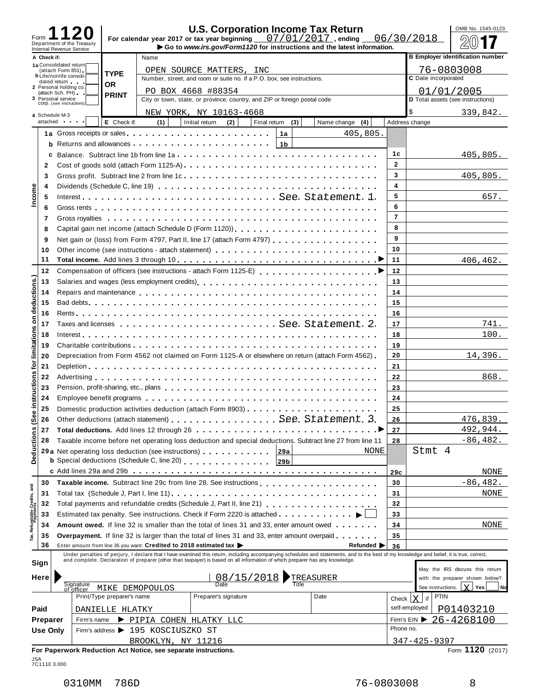| Form                    |                 |                                                        |                            |                                                                    |                                                                           |              |                | <b>U.S. Corporation Income Tax Return</b><br>For calendar year 2017 or tax year beginning $07/01/2017$ , ending                                                                                                                |                | OMB No. 1545-0123<br>06/30/2018         |
|-------------------------|-----------------|--------------------------------------------------------|----------------------------|--------------------------------------------------------------------|---------------------------------------------------------------------------|--------------|----------------|--------------------------------------------------------------------------------------------------------------------------------------------------------------------------------------------------------------------------------|----------------|-----------------------------------------|
|                         |                 | Department of the Treasury<br>Internal Revenue Service |                            |                                                                    |                                                                           |              |                | Go to www.irs.gov/Form1120 for instructions and the latest information.                                                                                                                                                        |                |                                         |
|                         | A Check if:     |                                                        |                            | Name                                                               |                                                                           |              |                |                                                                                                                                                                                                                                |                | <b>B Employer identification number</b> |
|                         |                 | 1a Consolidated return<br>(attach Form 851)            | <b>TYPE</b>                |                                                                    | OPEN SOURCE MATTERS, INC                                                  |              |                |                                                                                                                                                                                                                                |                | 76-0803008                              |
|                         |                 | <b>b</b> Life/nonlife consoli-<br>dated return and     |                            |                                                                    | Number, street, and room or suite no. If a P.O. box, see instructions.    |              |                |                                                                                                                                                                                                                                |                | C Date incorporated                     |
|                         |                 | 2 Personal holding co.<br>(attach Sch. PH)             | <b>OR</b>                  |                                                                    | PO BOX 4668 #88354                                                        |              |                |                                                                                                                                                                                                                                |                | 01/01/2005                              |
|                         |                 | 3 Personal service                                     | <b>PRINT</b>               |                                                                    | City or town, state, or province, country, and ZIP or foreign postal code |              |                |                                                                                                                                                                                                                                |                | D Total assets (see instructions)       |
|                         |                 | COID. (see instructions)                               |                            |                                                                    | NEW YORK, NY 10163-4668                                                   |              |                |                                                                                                                                                                                                                                |                | \$<br>339,842.                          |
|                         |                 | 4 Schedule M-3<br>attached and the state               | E Check if:                | (1)                                                                | (2)<br>Initial return                                                     | Final return | (3)            | (4)<br>Name change                                                                                                                                                                                                             |                | Address change                          |
|                         |                 |                                                        |                            |                                                                    |                                                                           |              | 1a             | 405,805.                                                                                                                                                                                                                       |                |                                         |
|                         |                 |                                                        |                            |                                                                    |                                                                           |              |                |                                                                                                                                                                                                                                |                |                                         |
|                         |                 |                                                        |                            |                                                                    |                                                                           |              | 1 <sub>b</sub> |                                                                                                                                                                                                                                |                |                                         |
|                         | c               |                                                        |                            |                                                                    |                                                                           |              |                |                                                                                                                                                                                                                                | 1с             | 405,805.                                |
|                         | 2               |                                                        |                            |                                                                    |                                                                           |              |                |                                                                                                                                                                                                                                | $\mathbf{2}$   |                                         |
|                         | 3               |                                                        |                            |                                                                    |                                                                           |              |                |                                                                                                                                                                                                                                | 3              | 405,805.                                |
| Income                  | 4               |                                                        |                            |                                                                    |                                                                           |              |                |                                                                                                                                                                                                                                | 4              |                                         |
|                         | 5               |                                                        |                            |                                                                    |                                                                           |              |                | Interest See. Statement. 1.                                                                                                                                                                                                    | 5              | 657.                                    |
|                         | 6               |                                                        |                            |                                                                    |                                                                           |              |                |                                                                                                                                                                                                                                | 6              |                                         |
|                         | 7               |                                                        |                            |                                                                    |                                                                           |              |                |                                                                                                                                                                                                                                | $\overline{7}$ |                                         |
|                         | 8               |                                                        |                            |                                                                    |                                                                           |              |                |                                                                                                                                                                                                                                | 8              |                                         |
|                         | 9               |                                                        |                            |                                                                    |                                                                           |              |                | Net gain or (loss) from Form 4797, Part II, line 17 (attach Form 4797)                                                                                                                                                         | 9              |                                         |
|                         | 10              |                                                        |                            |                                                                    |                                                                           |              |                | Other income (see instructions - attach statement)                                                                                                                                                                             | 10             |                                         |
|                         | 11              |                                                        |                            |                                                                    |                                                                           |              |                |                                                                                                                                                                                                                                | 11             | 406, 462.                               |
|                         | 12              |                                                        |                            |                                                                    |                                                                           |              |                |                                                                                                                                                                                                                                | 12             |                                         |
|                         | 13              |                                                        |                            |                                                                    |                                                                           |              |                |                                                                                                                                                                                                                                | 13             |                                         |
| deductions.)            |                 |                                                        |                            |                                                                    |                                                                           |              |                | Repairs and maintenance enterpreteration of the state of the state of the state of the state of the state of the state of the state of the state of the state of the state of the state of the state of the state of the state | 14             |                                         |
|                         | 14              |                                                        |                            |                                                                    |                                                                           |              |                |                                                                                                                                                                                                                                |                |                                         |
|                         | 15              |                                                        |                            |                                                                    |                                                                           |              |                |                                                                                                                                                                                                                                | 15             |                                         |
| δ                       | 16              |                                                        |                            |                                                                    |                                                                           |              |                |                                                                                                                                                                                                                                | 16             |                                         |
|                         | 17              |                                                        |                            |                                                                    |                                                                           |              |                |                                                                                                                                                                                                                                | 17             | 741.                                    |
| limitations             | 18              |                                                        |                            |                                                                    |                                                                           |              |                |                                                                                                                                                                                                                                | 18             | 100.                                    |
|                         | 19              |                                                        |                            |                                                                    |                                                                           |              |                |                                                                                                                                                                                                                                | 19             |                                         |
|                         | 20              |                                                        |                            |                                                                    |                                                                           |              |                | Depreciation from Form 4562 not claimed on Form 1125-A or elsewhere on return (attach Form 4562)                                                                                                                               | 20             | 14,396.                                 |
| ē                       | 21              |                                                        |                            |                                                                    |                                                                           |              |                |                                                                                                                                                                                                                                | 21             |                                         |
|                         | 22              |                                                        |                            |                                                                    |                                                                           |              |                |                                                                                                                                                                                                                                | 22             | 868.                                    |
| instructions            | 23              |                                                        |                            |                                                                    |                                                                           |              |                |                                                                                                                                                                                                                                | 23             |                                         |
|                         | 24              |                                                        |                            |                                                                    |                                                                           |              |                |                                                                                                                                                                                                                                | 24             |                                         |
|                         | 25              |                                                        |                            |                                                                    |                                                                           |              |                | Domestic production activities deduction (attach Form 8903)                                                                                                                                                                    | 25             |                                         |
| Φ                       | 26              |                                                        |                            |                                                                    |                                                                           |              |                | Other deductions (attach statement) See. Statement. 3.                                                                                                                                                                         | 26             | 476,839.                                |
| ଡ଼                      | 27              |                                                        |                            |                                                                    |                                                                           |              |                |                                                                                                                                                                                                                                | 27             | 492,944.                                |
|                         | 28              |                                                        |                            |                                                                    |                                                                           |              |                | Taxable income before net operating loss deduction and special deductions. Subtract line 27 from line 11                                                                                                                       | 28             | $-86, 482.$                             |
|                         |                 |                                                        |                            |                                                                    | 29 a Net operating loss deduction (see instructions)                      |              | 29a            | <b>NONE</b>                                                                                                                                                                                                                    |                | Stmt 4                                  |
| Deductions              |                 |                                                        |                            |                                                                    | <b>b</b> Special deductions (Schedule C, line 20)                         |              | 29b            |                                                                                                                                                                                                                                |                |                                         |
|                         |                 |                                                        |                            |                                                                    |                                                                           |              |                |                                                                                                                                                                                                                                |                |                                         |
|                         |                 |                                                        |                            |                                                                    |                                                                           |              |                |                                                                                                                                                                                                                                | 29c            | NONE                                    |
|                         | 30              |                                                        |                            |                                                                    |                                                                           |              |                |                                                                                                                                                                                                                                | 30             | $-86,482.$                              |
|                         | 31              |                                                        |                            |                                                                    |                                                                           |              |                |                                                                                                                                                                                                                                | 31             | NONE                                    |
| Refundable Credits, and | 32              |                                                        |                            |                                                                    |                                                                           |              |                | Total payments and refundable credits (Schedule J, Part II, line 21)<br>Total payments and refundable credits (Schedule J, Part II, line 21)                                                                                   | 32             |                                         |
|                         | 33              |                                                        |                            |                                                                    |                                                                           |              |                | Estimated tax penalty. See instructions. Check if Form 2220 is attached                                                                                                                                                        | 33             |                                         |
|                         | 34              |                                                        |                            |                                                                    |                                                                           |              |                | <b>Amount owed.</b> If line 32 is smaller than the total of lines 31 and 33, enter amount owed $\dots$                                                                                                                         | 34             | NONE                                    |
|                         | 35              |                                                        |                            |                                                                    |                                                                           |              |                | <b>Overpayment.</b> If line 32 is larger than the total of lines 31 and 33, enter amount overpaid                                                                                                                              | 35             |                                         |
|                         | 36              |                                                        |                            | Enter amount from line 35 you want: Credited to 2018 estimated tax |                                                                           |              |                | Refunded $\blacktriangleright$                                                                                                                                                                                                 | 36             |                                         |
|                         |                 |                                                        |                            |                                                                    |                                                                           |              |                | Under penalties of perjury, I declare that I have examined this return, including accompanying schedules and statements, and to the best of my knowledge and belief, it is true, correct, and complete. Declaration of prepare |                |                                         |
|                         | Sign            |                                                        |                            |                                                                    |                                                                           |              |                |                                                                                                                                                                                                                                |                | May the IRS discuss this return         |
|                         | Here            |                                                        |                            |                                                                    | $\frac{08/15/2018}{\text{Date}}$                                          |              |                | TREASURER                                                                                                                                                                                                                      |                | with the preparer shown below?          |
|                         |                 | Signature<br>of officer                                |                            | MIKE DEMOPOULOS                                                    |                                                                           |              |                | Title                                                                                                                                                                                                                          |                | $Y$ Yes<br>See instructions.<br>Nd      |
|                         |                 |                                                        | Print/Type preparer's name |                                                                    | Preparer's signature                                                      |              |                | Date                                                                                                                                                                                                                           | Check          | <b>PTIN</b><br>$\mathsf{X}$<br>$ $ if   |
|                         | Paid            |                                                        |                            |                                                                    |                                                                           |              |                |                                                                                                                                                                                                                                |                | self-employed                           |
|                         |                 |                                                        | DANIELLE HLATKY            |                                                                    |                                                                           |              |                |                                                                                                                                                                                                                                |                | P01403210                               |
|                         | Preparer        | Firm's name                                            |                            | PIPIA COHEN HLATKY LLC                                             |                                                                           |              |                |                                                                                                                                                                                                                                | Phone no.      | Firm's EIN $\triangleright$ 26-4268100  |
|                         | <b>Use Only</b> |                                                        |                            | Firm's address ▶ 195 KOSCIUSZKO ST                                 |                                                                           |              |                |                                                                                                                                                                                                                                |                |                                         |
|                         |                 |                                                        |                            | BROOKLYN, NY 11216                                                 |                                                                           |              |                |                                                                                                                                                                                                                                |                | 347-425-9397                            |
|                         |                 |                                                        |                            | For Paperwork Reduction Act Notice, see separate instructions.     |                                                                           |              |                |                                                                                                                                                                                                                                |                | Form 1120 (2017)                        |

JSA 7C1110 3.000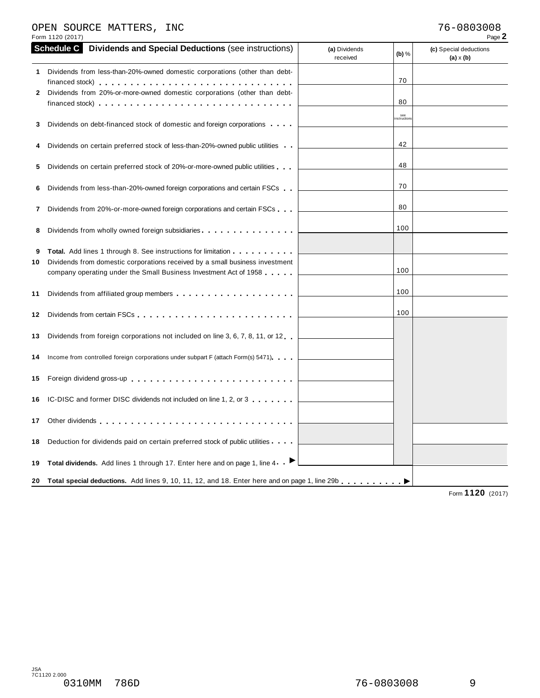# OPEN SOURCE MATTERS, INC 76-0803008

|         | Form 1120 (2017)                                                                                                                                                                                                                                                                                                                                                                        |                           |                   | Page 2                                     |
|---------|-----------------------------------------------------------------------------------------------------------------------------------------------------------------------------------------------------------------------------------------------------------------------------------------------------------------------------------------------------------------------------------------|---------------------------|-------------------|--------------------------------------------|
|         | <b>Schedule C</b> Dividends and Special Deductions (see instructions)                                                                                                                                                                                                                                                                                                                   | (a) Dividends<br>received | (b) $%$           | (c) Special deductions<br>$(a) \times (b)$ |
| 1.<br>2 | Dividends from less-than-20%-owned domestic corporations (other than debt-<br>Dividends from 20%-or-more-owned domestic corporations (other than debt-<br>financed stock) experience in the state of the state of the state of the state of the state of the state of the state of the state of the state of the state of the state of the state of the state of the state of the state |                           | 70<br>80          |                                            |
| 3       | Dividends on debt-financed stock of domestic and foreign corporations                                                                                                                                                                                                                                                                                                                   |                           | see<br>nstruction |                                            |
|         | Dividends on certain preferred stock of less-than-20%-owned public utilities                                                                                                                                                                                                                                                                                                            |                           | 42                |                                            |
| 5       | Dividends on certain preferred stock of 20%-or-more-owned public utilities                                                                                                                                                                                                                                                                                                              |                           | 48                |                                            |
| 6       | Dividends from less-than-20%-owned foreign corporations and certain FSCs                                                                                                                                                                                                                                                                                                                |                           | 70                |                                            |
| 7       | Dividends from 20%-or-more-owned foreign corporations and certain FSCs                                                                                                                                                                                                                                                                                                                  |                           | 80                |                                            |
| 8       | Dividends from wholly owned foreign subsidiaries                                                                                                                                                                                                                                                                                                                                        |                           | 100               |                                            |
| 9<br>10 | <b>Total.</b> Add lines 1 through 8. See instructions for limitation <b></b> .<br>Dividends from domestic corporations received by a small business investment<br>company operating under the Small Business Investment Act of 1958                                                                                                                                                     |                           | 100               |                                            |
| 11      |                                                                                                                                                                                                                                                                                                                                                                                         |                           | 100               |                                            |
| 12      |                                                                                                                                                                                                                                                                                                                                                                                         |                           | 100               |                                            |
| 13      | Dividends from foreign corporations not included on line 3, 6, 7, 8, 11, or 12                                                                                                                                                                                                                                                                                                          |                           |                   |                                            |
| 14      | Income from controlled foreign corporations under subpart F (attach Form(s) 5471)                                                                                                                                                                                                                                                                                                       |                           |                   |                                            |
|         | 15 Foreign dividend gross-up                                                                                                                                                                                                                                                                                                                                                            |                           |                   |                                            |
| 16      | IC-DISC and former DISC dividends not included on line 1, 2, or 3                                                                                                                                                                                                                                                                                                                       |                           |                   |                                            |
| 17      |                                                                                                                                                                                                                                                                                                                                                                                         |                           |                   |                                            |
| 18      | Deduction for dividends paid on certain preferred stock of public utilities                                                                                                                                                                                                                                                                                                             |                           |                   |                                            |
| 19      | Total dividends. Add lines 1 through 17. Enter here and on page 1, line 4 ▶                                                                                                                                                                                                                                                                                                             |                           |                   |                                            |
| 20      | Total special deductions. Add lines 9, 10, 11, 12, and 18. Enter here and on page 1, line 29b                                                                                                                                                                                                                                                                                           |                           |                   | 1100                                       |

Form **1120** (2017)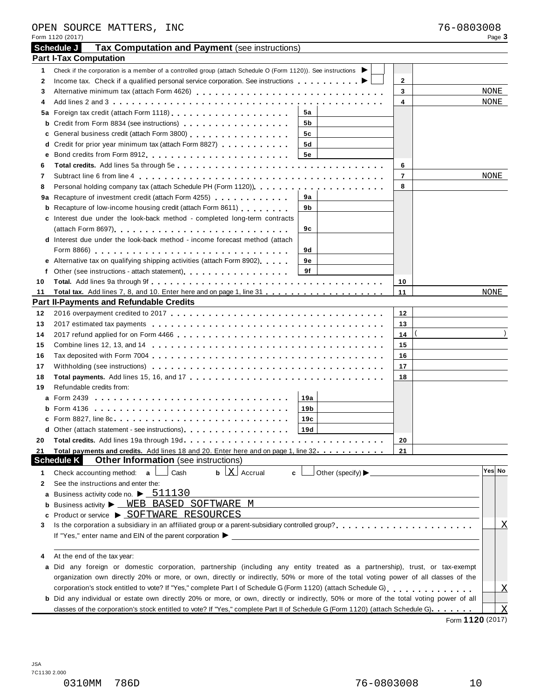|    | Form 1120 (2017)                                                                                                                                                                                                                                                                                               |                         | Page 3                  |
|----|----------------------------------------------------------------------------------------------------------------------------------------------------------------------------------------------------------------------------------------------------------------------------------------------------------------|-------------------------|-------------------------|
|    | Schedule J<br>Tax Computation and Payment (see instructions)                                                                                                                                                                                                                                                   |                         |                         |
|    | <b>Part I-Tax Computation</b>                                                                                                                                                                                                                                                                                  |                         |                         |
| 1  | Check if the corporation is a member of a controlled group (attach Schedule O (Form 1120)). See instructions                                                                                                                                                                                                   |                         |                         |
| 2  |                                                                                                                                                                                                                                                                                                                | $\mathbf{2}$            |                         |
| 3  |                                                                                                                                                                                                                                                                                                                | 3                       | NONE                    |
| 4  |                                                                                                                                                                                                                                                                                                                | $\overline{\mathbf{4}}$ | NONE                    |
|    | 5a                                                                                                                                                                                                                                                                                                             |                         |                         |
| b  | 5b                                                                                                                                                                                                                                                                                                             |                         |                         |
| c  | General business credit (attach Form 3800) [19] [19] Contract Point Contract Dental Business Credit Atlanta De<br>5c                                                                                                                                                                                           |                         |                         |
|    | d Credit for prior year minimum tax (attach Form 8827)<br>5d                                                                                                                                                                                                                                                   |                         |                         |
| е  | Bond credits from Form 8912 expansion of the state of the state of the state of the state of the state of the state of the state of the state of the state of the state of the state of the state of the state of the state of<br><b>5e</b>                                                                    |                         |                         |
| 6  |                                                                                                                                                                                                                                                                                                                | 6                       |                         |
| 7  |                                                                                                                                                                                                                                                                                                                | $\overline{\mathbf{r}}$ | NONE                    |
| 8  |                                                                                                                                                                                                                                                                                                                | 8                       |                         |
|    | 9a Recapture of investment credit (attach Form 4255)<br>9а                                                                                                                                                                                                                                                     |                         |                         |
|    | <b>b</b> Recapture of low-income housing credit (attach Form 8611)<br>9b                                                                                                                                                                                                                                       |                         |                         |
|    | c Interest due under the look-back method - completed long-term contracts                                                                                                                                                                                                                                      |                         |                         |
|    | (attach Form 8697)<br>9с                                                                                                                                                                                                                                                                                       |                         |                         |
|    | <b>d</b> Interest due under the look-back method - income forecast method (attach                                                                                                                                                                                                                              |                         |                         |
|    | 9d                                                                                                                                                                                                                                                                                                             |                         |                         |
|    | e Alternative tax on qualifying shipping activities (attach Form 8902)<br>9е                                                                                                                                                                                                                                   |                         |                         |
| f  | 9f                                                                                                                                                                                                                                                                                                             |                         |                         |
| 10 |                                                                                                                                                                                                                                                                                                                | 10                      |                         |
| 11 |                                                                                                                                                                                                                                                                                                                | 11                      | NONE                    |
|    | <b>Part II-Payments and Refundable Credits</b><br>the control of the control of the control of the control of the control of the control of                                                                                                                                                                    |                         |                         |
| 12 |                                                                                                                                                                                                                                                                                                                | 12                      |                         |
| 13 |                                                                                                                                                                                                                                                                                                                | 13                      |                         |
| 14 |                                                                                                                                                                                                                                                                                                                | 14                      |                         |
| 15 |                                                                                                                                                                                                                                                                                                                | 15                      |                         |
| 16 |                                                                                                                                                                                                                                                                                                                | 16                      |                         |
| 17 |                                                                                                                                                                                                                                                                                                                | 17                      |                         |
| 18 |                                                                                                                                                                                                                                                                                                                | 18                      |                         |
| 19 | Refundable credits from:                                                                                                                                                                                                                                                                                       |                         |                         |
|    | 19a                                                                                                                                                                                                                                                                                                            |                         |                         |
|    | 19 <sub>b</sub>                                                                                                                                                                                                                                                                                                |                         |                         |
|    | c Form 8827, line 8c<br>19c                                                                                                                                                                                                                                                                                    |                         |                         |
|    | d Other (attach statement - see instructions).<br>19d                                                                                                                                                                                                                                                          |                         |                         |
| 20 |                                                                                                                                                                                                                                                                                                                | 20                      |                         |
| 21 | Total payments and credits. Add lines 18 and 20. Enter here and on page 1, line 32                                                                                                                                                                                                                             | 21                      |                         |
|    | <b>Schedule K</b><br><b>Other Information</b> (see instructions)                                                                                                                                                                                                                                               |                         |                         |
| 1  | $\mathbf b$ $\mathbf X$ Accrual<br>Other (specify) Designation of the state of the state of the state of the state of the state of the state of the state of the state of the state of the state of the state of the state of the state of the state of the state<br>Check accounting method: $a$<br>Cash<br>c |                         | Yes No                  |
| 2  | See the instructions and enter the:                                                                                                                                                                                                                                                                            |                         |                         |
| а  | Business activity code no. $\blacktriangleright$ $\underline{\hspace{0.2cm}511130}$                                                                                                                                                                                                                            |                         |                         |
| b  | Business activity > WEB BASED SOFTWARE M                                                                                                                                                                                                                                                                       |                         |                         |
| c  | Product or service ▶ SOFTWARE RESOURCES                                                                                                                                                                                                                                                                        |                         |                         |
| 3  |                                                                                                                                                                                                                                                                                                                |                         | $\overline{\text{X}}$   |
|    |                                                                                                                                                                                                                                                                                                                |                         |                         |
|    |                                                                                                                                                                                                                                                                                                                |                         |                         |
| 4  | At the end of the tax year:                                                                                                                                                                                                                                                                                    |                         |                         |
| а  | Did any foreign or domestic corporation, partnership (including any entity treated as a partnership), trust, or tax-exempt                                                                                                                                                                                     |                         |                         |
|    | organization own directly 20% or more, or own, directly or indirectly, 50% or more of the total voting power of all classes of the                                                                                                                                                                             |                         |                         |
|    |                                                                                                                                                                                                                                                                                                                |                         | $\overline{X}$          |
|    | b Did any individual or estate own directly 20% or more, or own, directly or indirectly, 50% or more of the total voting power of all                                                                                                                                                                          |                         |                         |
|    | classes of the corporation's stock entitled to vote? If "Yes," complete Part II of Schedule G (Form 1120) (attach Schedule G).                                                                                                                                                                                 |                         | $\overline{\mathrm{X}}$ |

Form **1120** (2017)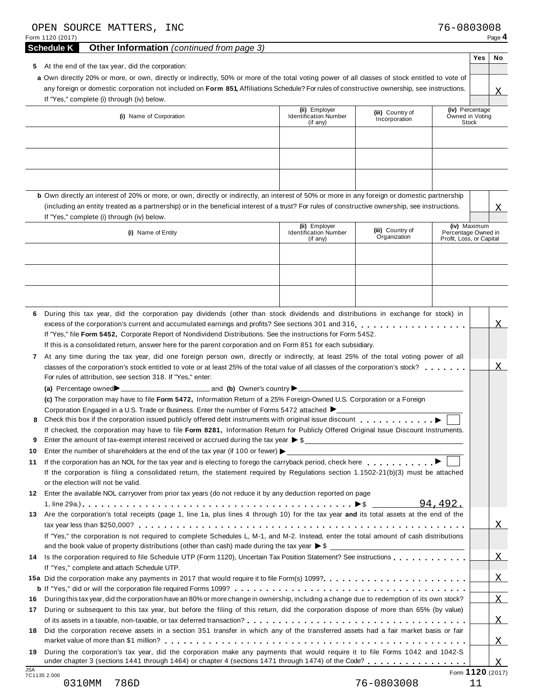|              | OPEN SOURCE MATTERS, INC<br>Form 1120 (2017)<br><b>Other Information</b> (continued from page 3)                                                                                                                                                                                  |                                                           |                                   | 76-0803008                                                      |     | Page 4         |
|--------------|-----------------------------------------------------------------------------------------------------------------------------------------------------------------------------------------------------------------------------------------------------------------------------------|-----------------------------------------------------------|-----------------------------------|-----------------------------------------------------------------|-----|----------------|
|              | <b>Schedule K</b>                                                                                                                                                                                                                                                                 |                                                           |                                   |                                                                 | Yes | No             |
|              | 5 At the end of the tax year, did the corporation:                                                                                                                                                                                                                                |                                                           |                                   |                                                                 |     |                |
|              | a Own directly 20% or more, or own, directly or indirectly, 50% or more of the total voting power of all classes of stock entitled to vote of                                                                                                                                     |                                                           |                                   |                                                                 |     |                |
|              | any foreign or domestic corporation not included on Form 851, Affiliations Schedule? For rules of constructive ownership, see instructions.<br>If "Yes," complete (i) through (iv) below.                                                                                         |                                                           |                                   |                                                                 |     | X              |
|              | (i) Name of Corporation                                                                                                                                                                                                                                                           | (ii) Employer<br><b>Identification Number</b><br>(if any) | (iii) Country of<br>Incorporation | (iv) Percentage<br>Owned in Voting<br>Stock                     |     |                |
|              |                                                                                                                                                                                                                                                                                   |                                                           |                                   |                                                                 |     |                |
|              |                                                                                                                                                                                                                                                                                   |                                                           |                                   |                                                                 |     |                |
|              | b Own directly an interest of 20% or more, or own, directly or indirectly, an interest of 50% or more in any foreign or domestic partnership                                                                                                                                      |                                                           |                                   |                                                                 |     |                |
|              | (including an entity treated as a partnership) or in the beneficial interest of a trust? For rules of constructive ownership, see instructions.<br>If "Yes," complete (i) through (iv) below.                                                                                     |                                                           |                                   |                                                                 |     | Χ              |
|              | (i) Name of Entity                                                                                                                                                                                                                                                                | (ii) Employer<br><b>Identification Number</b><br>(if any) | (iii) Country of<br>Organization  | (iv) Maximum<br>Percentage Owned in<br>Profit, Loss, or Capital |     |                |
|              |                                                                                                                                                                                                                                                                                   |                                                           |                                   |                                                                 |     |                |
|              |                                                                                                                                                                                                                                                                                   |                                                           |                                   |                                                                 |     |                |
|              |                                                                                                                                                                                                                                                                                   |                                                           |                                   |                                                                 |     |                |
|              |                                                                                                                                                                                                                                                                                   |                                                           |                                   |                                                                 |     |                |
| 6            | During this tax year, did the corporation pay dividends (other than stock dividends and distributions in exchange for stock) in                                                                                                                                                   |                                                           |                                   |                                                                 |     |                |
|              | excess of the corporation's current and accumulated earnings and profits? See sections 301 and 316                                                                                                                                                                                |                                                           |                                   |                                                                 |     |                |
|              | If "Yes," file Form 5452, Corporate Report of Nondividend Distributions. See the instructions for Form 5452.                                                                                                                                                                      |                                                           |                                   |                                                                 |     |                |
|              | If this is a consolidated return, answer here for the parent corporation and on Form 851 for each subsidiary.                                                                                                                                                                     |                                                           |                                   |                                                                 |     |                |
| $\mathbf{7}$ | At any time during the tax year, did one foreign person own, directly or indirectly, at least 25% of the total voting power of all                                                                                                                                                |                                                           |                                   |                                                                 |     |                |
|              |                                                                                                                                                                                                                                                                                   |                                                           |                                   |                                                                 |     | Χ              |
|              | For rules of attribution, see section 318. If "Yes," enter:                                                                                                                                                                                                                       |                                                           |                                   |                                                                 |     |                |
|              |                                                                                                                                                                                                                                                                                   |                                                           |                                   |                                                                 |     |                |
|              | (c) The corporation may have to file Form 5472, Information Return of a 25% Foreign-Owned U.S. Corporation or a Foreign                                                                                                                                                           |                                                           |                                   |                                                                 |     |                |
|              | Corporation Engaged in a U.S. Trade or Business. Enter the number of Forms 5472 attached $\blacktriangleright$                                                                                                                                                                    |                                                           |                                   |                                                                 |     |                |
|              | Check this box if the corporation issued publicly offered debt instruments with original issue discount<br>If checked, the corporation may have to file Form 8281, Information Return for Publicly Offered Original Issue Discount Instruments.                                   |                                                           |                                   |                                                                 |     |                |
| 9            | Enter the amount of tax-exempt interest received or accrued during the tax year $\triangleright$ \$                                                                                                                                                                               |                                                           |                                   |                                                                 |     |                |
| 10<br>11     | Enter the number of shareholders at the end of the tax year (if 100 or fewer) $\blacktriangleright$                                                                                                                                                                               |                                                           |                                   |                                                                 |     |                |
|              | If the corporation is filing a consolidated return, the statement required by Regulations section 1.1502-21(b)(3) must be attached<br>or the election will not be valid.                                                                                                          |                                                           |                                   |                                                                 |     |                |
|              | 12 Enter the available NOL carryover from prior tax years (do not reduce it by any deduction reported on page                                                                                                                                                                     |                                                           |                                   |                                                                 |     |                |
|              | 13 Are the corporation's total receipts (page 1, line 1a, plus lines 4 through 10) for the tax year and its total assets at the end of the                                                                                                                                        |                                                           |                                   | 94,492.                                                         |     |                |
|              |                                                                                                                                                                                                                                                                                   |                                                           |                                   |                                                                 |     | $\mathbf{X}$   |
|              | If "Yes," the corporation is not required to complete Schedules L, M-1, and M-2. Instead, enter the total amount of cash distributions<br>and the book value of property distributions (other than cash) made during the tax year $\triangleright$ \$                             |                                                           |                                   |                                                                 |     |                |
|              | If "Yes," complete and attach Schedule UTP.                                                                                                                                                                                                                                       |                                                           |                                   |                                                                 |     | $\overline{X}$ |
|              |                                                                                                                                                                                                                                                                                   |                                                           |                                   |                                                                 |     | $\overline{X}$ |
|              |                                                                                                                                                                                                                                                                                   |                                                           |                                   |                                                                 |     |                |
| 16<br>17     | During this tax year, did the corporation have an 80% or more change in ownership, including a change due to redemption of its own stock?<br>During or subsequent to this tax year, but before the filing of this return, did the corporation dispose of more than 65% (by value) |                                                           |                                   |                                                                 |     | X              |
|              |                                                                                                                                                                                                                                                                                   |                                                           |                                   |                                                                 |     | X              |
| 18           | Did the corporation receive assets in a section 351 transfer in which any of the transferred assets had a fair market basis or fair                                                                                                                                               |                                                           |                                   |                                                                 |     |                |
| 19           | During the corporation's tax year, did the corporation make any payments that would require it to file Forms 1042 and 1042-S                                                                                                                                                      |                                                           |                                   |                                                                 |     | X              |
| <b>JSA</b>   | under chapter 3 (sections 1441 through 1464) or chapter 4 (sections 1471 through 1474) of the Code?                                                                                                                                                                               |                                                           |                                   | Form 1120 (2017)                                                |     | X              |
|              | 7C1135 2.000<br>0310MM<br>786D                                                                                                                                                                                                                                                    |                                                           | 76-0803008                        |                                                                 | 11  |                |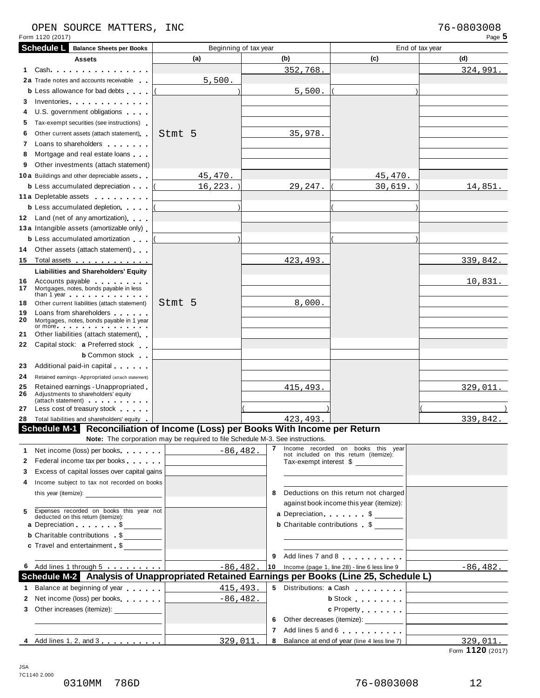#### OPEN SOURCE MATTERS, INC<br>
Form 1120 (2017) Page **5** OPEN SOURCE MATTERS, INC

|          | <b>Schedule L</b> Balance Sheets per Books                                                                                                                                                                                                                                  | Beginning of tax year                                                         |          |                                                                                                                                                                                                                                           | End of tax year                                                                                                        |
|----------|-----------------------------------------------------------------------------------------------------------------------------------------------------------------------------------------------------------------------------------------------------------------------------|-------------------------------------------------------------------------------|----------|-------------------------------------------------------------------------------------------------------------------------------------------------------------------------------------------------------------------------------------------|------------------------------------------------------------------------------------------------------------------------|
|          | <b>Assets</b>                                                                                                                                                                                                                                                               | (a)                                                                           | (b)      | (c)                                                                                                                                                                                                                                       | (d)                                                                                                                    |
| 1.       | Cash and the control of the control of the control of the control of the control of the control of the control of the control of the control of the control of the control of the control of the control of the control of the                                              |                                                                               | 352,768. |                                                                                                                                                                                                                                           | 324,991.                                                                                                               |
|          | 2a Trade notes and accounts receivable                                                                                                                                                                                                                                      | 5,500.                                                                        |          |                                                                                                                                                                                                                                           |                                                                                                                        |
|          | <b>b</b> Less allowance for bad debts                                                                                                                                                                                                                                       |                                                                               | 5,500.   |                                                                                                                                                                                                                                           |                                                                                                                        |
| 3        | Inventories <b>All Accounts</b> in the set of the set of the set of the set of the set of the set of the set of the set of the set of the set of the set of the set of the set of the set of the set of the set of the set of the s                                         |                                                                               |          |                                                                                                                                                                                                                                           |                                                                                                                        |
| 4        | U.S. government obligations                                                                                                                                                                                                                                                 |                                                                               |          |                                                                                                                                                                                                                                           |                                                                                                                        |
| 5        | Tax-exempt securities (see instructions)                                                                                                                                                                                                                                    |                                                                               |          |                                                                                                                                                                                                                                           |                                                                                                                        |
| 6        | Other current assets (attach statement)                                                                                                                                                                                                                                     | Stmt 5                                                                        | 35,978.  |                                                                                                                                                                                                                                           |                                                                                                                        |
| 7        | Loans to shareholders <b>contained</b>                                                                                                                                                                                                                                      |                                                                               |          |                                                                                                                                                                                                                                           |                                                                                                                        |
| 8        | Mortgage and real estate loans                                                                                                                                                                                                                                              |                                                                               |          |                                                                                                                                                                                                                                           |                                                                                                                        |
| 9        | Other investments (attach statement)                                                                                                                                                                                                                                        |                                                                               |          |                                                                                                                                                                                                                                           |                                                                                                                        |
|          | <b>10a</b> Buildings and other depreciable assets                                                                                                                                                                                                                           | 45,470.                                                                       |          | 45,470.                                                                                                                                                                                                                                   |                                                                                                                        |
|          | <b>b</b> Less accumulated depreciation                                                                                                                                                                                                                                      | $16, 223.$ )                                                                  | 29,247.  | 30,619.                                                                                                                                                                                                                                   | 14,851.                                                                                                                |
|          | 11 a Depletable assets                                                                                                                                                                                                                                                      |                                                                               |          |                                                                                                                                                                                                                                           |                                                                                                                        |
|          | <b>b</b> Less accumulated depletion                                                                                                                                                                                                                                         |                                                                               |          |                                                                                                                                                                                                                                           |                                                                                                                        |
|          | 12 Land (net of any amortization)                                                                                                                                                                                                                                           |                                                                               |          |                                                                                                                                                                                                                                           |                                                                                                                        |
|          | 13 a Intangible assets (amortizable only)                                                                                                                                                                                                                                   |                                                                               |          |                                                                                                                                                                                                                                           |                                                                                                                        |
|          | <b>b</b> Less accumulated amortization                                                                                                                                                                                                                                      |                                                                               |          |                                                                                                                                                                                                                                           |                                                                                                                        |
|          | 14 Other assets (attach statement)                                                                                                                                                                                                                                          |                                                                               |          |                                                                                                                                                                                                                                           |                                                                                                                        |
| 15       | Total assets <u>.</u>                                                                                                                                                                                                                                                       |                                                                               | 423,493  |                                                                                                                                                                                                                                           | 339,842.                                                                                                               |
|          | <b>Liabilities and Shareholders' Equity</b>                                                                                                                                                                                                                                 |                                                                               |          |                                                                                                                                                                                                                                           |                                                                                                                        |
| 16<br>17 | Accounts payable <b>Accounts</b> payable<br>Mortgages, notes, bonds payable in less                                                                                                                                                                                         |                                                                               |          |                                                                                                                                                                                                                                           | 10,831.                                                                                                                |
| 18       | than 1 year $\cdots$ $\cdots$ $\cdots$ $\cdots$<br>Other current liabilities (attach statement)                                                                                                                                                                             | Stmt 5                                                                        | 8,000.   |                                                                                                                                                                                                                                           |                                                                                                                        |
| 19       | Loans from shareholders <b>that is a matter of the state</b>                                                                                                                                                                                                                |                                                                               |          |                                                                                                                                                                                                                                           |                                                                                                                        |
| 20       | Mortgages, notes, bonds payable in 1 year<br>or more experience and the set of the set of the set of the set of the set of the set of the set of the set of the set of the set of the set of the set of the set of the set of the set of the set of the set of the set of t |                                                                               |          |                                                                                                                                                                                                                                           |                                                                                                                        |
| 21       | Other liabilities (attach statement)                                                                                                                                                                                                                                        |                                                                               |          |                                                                                                                                                                                                                                           |                                                                                                                        |
| 22       | Capital stock: a Preferred stock                                                                                                                                                                                                                                            |                                                                               |          |                                                                                                                                                                                                                                           |                                                                                                                        |
|          | <b>b</b> Common stock                                                                                                                                                                                                                                                       |                                                                               |          |                                                                                                                                                                                                                                           |                                                                                                                        |
| 23       | Additional paid-in capital extension                                                                                                                                                                                                                                        |                                                                               |          |                                                                                                                                                                                                                                           |                                                                                                                        |
| 24       | Retained earnings - Appropriated (attach statement)                                                                                                                                                                                                                         |                                                                               |          |                                                                                                                                                                                                                                           |                                                                                                                        |
| 25<br>26 | Retained earnings - Unappropriated<br>Adjustments to shareholders' equity<br>(attach statement) experience and a set of the statement                                                                                                                                       |                                                                               | 415,493. |                                                                                                                                                                                                                                           | <u>329,011.</u>                                                                                                        |
| 27       | Less cost of treasury stock extends                                                                                                                                                                                                                                         |                                                                               |          |                                                                                                                                                                                                                                           |                                                                                                                        |
|          | 28 Total liabilities and shareholders' equity                                                                                                                                                                                                                               |                                                                               | 423,493  |                                                                                                                                                                                                                                           | 339,842.                                                                                                               |
|          | Schedule M-1 Reconciliation of Income (Loss) per Books With Income per Return                                                                                                                                                                                               | Note: The corporation may be required to file Schedule M-3. See instructions. |          |                                                                                                                                                                                                                                           |                                                                                                                        |
| 1        | Net income (loss) per books                                                                                                                                                                                                                                                 | $-86,482.$                                                                    |          | 7 Income recorded on books this year                                                                                                                                                                                                      |                                                                                                                        |
| 2        | Federal income tax per books                                                                                                                                                                                                                                                |                                                                               |          | not included on this return (itemize):<br>Tax-exempt interest \$                                                                                                                                                                          |                                                                                                                        |
| 3        | Excess of capital losses over capital gains                                                                                                                                                                                                                                 |                                                                               |          |                                                                                                                                                                                                                                           |                                                                                                                        |
| 4        | Income subject to tax not recorded on books                                                                                                                                                                                                                                 |                                                                               |          |                                                                                                                                                                                                                                           |                                                                                                                        |
|          | this year (itemize):                                                                                                                                                                                                                                                        |                                                                               | 8        | Deductions on this return not charged                                                                                                                                                                                                     |                                                                                                                        |
|          |                                                                                                                                                                                                                                                                             |                                                                               |          | against book income this year (itemize):                                                                                                                                                                                                  |                                                                                                                        |
| 5        | Expenses recorded on books this year not deducted on this return (itemize):                                                                                                                                                                                                 |                                                                               |          | a Depreciation. \$                                                                                                                                                                                                                        |                                                                                                                        |
|          | a Depreciation \$                                                                                                                                                                                                                                                           |                                                                               |          | <b>b</b> Charitable contributions \$                                                                                                                                                                                                      |                                                                                                                        |
|          | <b>b</b> Charitable contributions \$                                                                                                                                                                                                                                        |                                                                               |          |                                                                                                                                                                                                                                           |                                                                                                                        |
|          | c Travel and entertainment \$                                                                                                                                                                                                                                               |                                                                               |          |                                                                                                                                                                                                                                           |                                                                                                                        |
|          |                                                                                                                                                                                                                                                                             |                                                                               | 9        | Add lines 7 and 8                                                                                                                                                                                                                         |                                                                                                                        |
|          | 6 Add lines 1 through 5                                                                                                                                                                                                                                                     | $-86, 482.$                                                                   | 10       | Income (page 1, line 28) - line 6 less line 9                                                                                                                                                                                             | $-86, 482.$                                                                                                            |
|          | Schedule M-2 Analysis of Unappropriated Retained Earnings per Books (Line 25, Schedule L)                                                                                                                                                                                   |                                                                               |          |                                                                                                                                                                                                                                           |                                                                                                                        |
|          | 1 Balance at beginning of year                                                                                                                                                                                                                                              | 415,493.                                                                      |          | 5 Distributions: a Cash                                                                                                                                                                                                                   |                                                                                                                        |
|          | 2 Net income (loss) per books                                                                                                                                                                                                                                               | $-86, 482.$                                                                   |          | <b>b</b> Stock <b>contains the state of the state of the state of the state of the state of the state of the state of the state of the state of the state of the state of the state of the state of the state of the state of the sta</b> | the control of the control of the control of the control of the control of                                             |
|          | 3 Other increases (itemize): ______________                                                                                                                                                                                                                                 |                                                                               |          | c Property                                                                                                                                                                                                                                | <u> 1989 - Johann John Stone, mars et al. 1989 - John Stone, mars et al. 1989 - John Stone, mars et al. 1989 - Joh</u> |
|          |                                                                                                                                                                                                                                                                             |                                                                               | 6        | Other decreases (itemize): __________                                                                                                                                                                                                     | <u> 1989 - John Stein, Amerikaansk politiker (</u>                                                                     |
|          |                                                                                                                                                                                                                                                                             |                                                                               | 7        | Add lines 5 and 6                                                                                                                                                                                                                         |                                                                                                                        |
|          |                                                                                                                                                                                                                                                                             | 329,011.                                                                      | 8        | Balance at end of year (line 4 less line 7)                                                                                                                                                                                               | 329,011.                                                                                                               |
|          |                                                                                                                                                                                                                                                                             |                                                                               |          |                                                                                                                                                                                                                                           | Form 1120 (2017)                                                                                                       |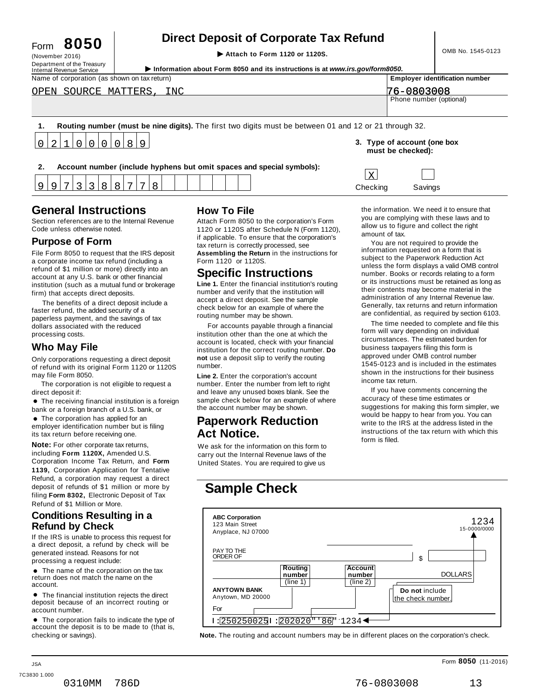# **Direct Deposit of Corporate Tax Refund**<br>
Attach to Form 1120 or 1120S.<br> **Attach to Form 1120 or 1120S.**

Department of the Treasury<br>Internal Revenue Service (November 2016)<br>
Department of the Treasury<br>
Information about Form 8050 and its instructions is at www.irs.gov/form8050.<br>
Name of corporation (as shown on tax return)<br>
Name of corporation (as shown on tax return)<br>
Name of  $\sigma$ PEN SOURCE MATTERS, INC  $\sigma$ 

| OPEN SOURCE MATTERS,<br>1 N C                                                                          | 76-0803008              |
|--------------------------------------------------------------------------------------------------------|-------------------------|
|                                                                                                        | Phone number (optional) |
|                                                                                                        |                         |
|                                                                                                        |                         |
|                                                                                                        |                         |
| Routing number (must be nine digits). The first two digits must be between 01 and 12 or 21 through 32. |                         |
|                                                                                                        |                         |

**2. Account number (include hyphens but omit spaces and special symbols):**

8

# **General Instructions How To File**

0 2 1 0 0 0 0 0 8 9

Section references are to the Internal Revenue<br>Code unless otherwise noted.

9

9 7 3 3 8 8 7

File Form 8050 to request that the IRS deposit a corporate income tax refund (including a refund of \$1 million or more) directly into an account at any U.S. bank or other financial institution (such as a mutual fund or brokerage firm) that accepts direct deposits.

The benefits of a direct deposit include a faster refund, the added security of a paperless payment, and the savings of tax dollars associated with the reduced processing costs.

**Who May File**<br>
Only corporations requesting a direct deposit in the institution<br>
of refund with its original Form 1120 or 1120S number. of refund with its original Form 1120 or 1120S may file Form 8050. **Line 2.** Enter the corporation's account

The corporation is not eligible to request a

lirect deposit if:<br>● The receiving financial institution is a foreign<br>pank or a foreign branch of a U.S. bank, or bank or a foreign branch of a U.S. bank, or<br> $\bullet$  The corporation has applied for an

employer identification number but is filing its tax return before receiving one.

**Note:** For other corporate tax returns, **Note:** For other corporate tax returns, We ask for the information on this form to including **Form 1120X**, Amended U.S. carry out the Internal Revenue laws of the Corporation Income Tax Return, and Form United States. You are required to give us **1139,** Corporation Application for Tentative Refund, a corporation may request a direct deposit of refunds of \$1 million or more by filing **Form 8302,** Electronic Deposit of Tax **Sample Check** Refund of \$1 Million or More.

#### **Conditions Resulting in a Refund by Check**

If the IRS is unable to process this request for<br>a direct deposit. a refund by check will be

• The name of the corporation on the tax return does not match the name on the

deposit because of an incorrect routing or account number.

Section references are to the Internal Revenue Attach Form 8050 to the corporation's Form<br>Code unless otherwise noted. 1120 or 1120S after Schedule N (Form 1120), if applicable. To ensure that the corporation's tax return is correctly processed, see **Assembling the Return** in the instructions for Form 1120 or 1120S. **Purpose of Form COVID BY A PURPOSE** TO THE TOTAL TO THE CONDUCTS TO THE CONDUCT A THE CONDUCT OF THE CONDUCT OF THE CONDUCT OF THE CONDUCT OF THE CONDUCT OF THE CONDUCT OF THE CONDUCT OF THE CONDUCT OF THE CONDUCT OF TH

### **Specific Instructions**

**Line 1.** Enter the financial institution's routing number and verify that the institution will accept a direct deposit. See the sample check below for an example of where the routing number may be shown.

institution other than the one at which the account is located, check with your financial institution for the correct routing number. **Do not** use a deposit slip to verify the routing

number. Enter the number from left to right and leave any unused boxes blank. See the If you have comments concerning the direct deposit if: accuracy of these time estimates or sample check below for an example of where the account number may be shown.

### **Paperwork Reduction Act Notice.**

the information. We need it to ensure that you are complying with these laws and to allow us to figure and collect the right amount of tax.

**3. Type of account (one box must be checked):**

Checking Savings

X

information requested on a form that is subject to the Paperwork Reduction Act unless the form displays a valid OMB control number. Books or records relating to a form or its instructions must be retained as long as their contents may become material in the administration of any Internal Revenue law. Generally, tax returns and return information are confidential, as required by section 6103.

The time needed to complete and file this For accounts payable through a financial form will vary depending on individual circumstances. The estimated burden for business taxpayers filing this form is approved under OMB control number 1545-0123 and is included in the estimates shown in the instructions for their business income tax return.

suggestions for making this form simpler, we would be happy to hear from you. You can write to the IRS at the address listed in the instructions of the tax return with which this form is filed.



checking or savings). **Note.** The routing and account numbers may be in different places on the corporation's check.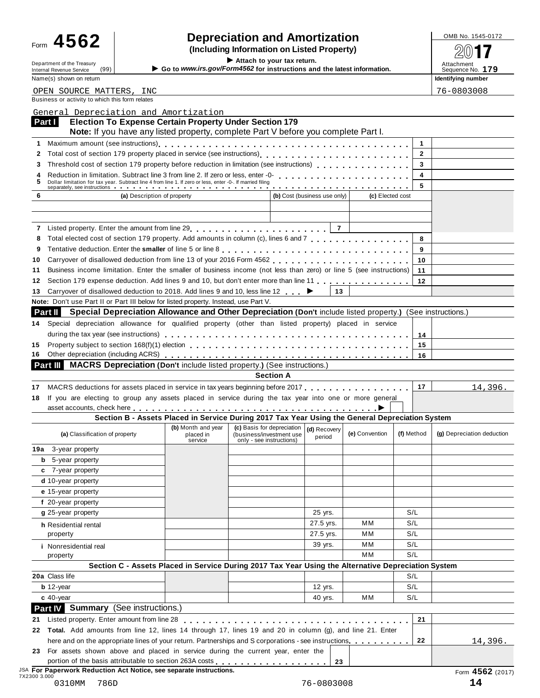# Form  $\bf 4562$  **combing information** and **Amortization combined to the SQS of**  $\bf 47$

Form  $\blacksquare$   $\blacksquare$   $\blacksquare$   $\blacksquare$   $\blacksquare$   $\blacksquare$   $\blacksquare$   $\blacksquare$   $\blacksquare$   $\blacksquare$   $\blacksquare$   $\blacksquare$   $\blacksquare$   $\blacksquare$   $\blacksquare$   $\blacksquare$   $\blacksquare$   $\blacksquare$   $\blacksquare$   $\blacksquare$   $\blacksquare$   $\blacksquare$   $\blacksquare$   $\blacksquare$   $\blacksquare$   $\blacksquare$   $\blacksquare$   $\blacksquare$   $\blacksquare$   $\blacksquare$   $\blacksquare$ 

(99) I **Go to** *www.irs.gov/Form4562* **for instructions and the latest information.** Sequence No. **<sup>179</sup> Identifying number** 

76-0803008

| Department of the Treasury<br>(99)<br>Internal Revenue Service                                                                                                                |                                            | Allaon to your tax return<br>Go to www.irs.gov/Form4562 for instructions and the latest information. |                              |                  |            | Attachment<br>Sequence No. |
|-------------------------------------------------------------------------------------------------------------------------------------------------------------------------------|--------------------------------------------|------------------------------------------------------------------------------------------------------|------------------------------|------------------|------------|----------------------------|
| Name(s) shown on return                                                                                                                                                       |                                            |                                                                                                      |                              |                  |            | Identifying num            |
| OPEN SOURCE MATTERS, INC                                                                                                                                                      |                                            |                                                                                                      |                              |                  |            | 76-08030                   |
| Business or activity to which this form relates                                                                                                                               |                                            |                                                                                                      |                              |                  |            |                            |
| General Depreciation and Amortization                                                                                                                                         |                                            |                                                                                                      |                              |                  |            |                            |
| <b>Election To Expense Certain Property Under Section 179</b><br>Part I                                                                                                       |                                            |                                                                                                      |                              |                  |            |                            |
| Note: If you have any listed property, complete Part V before you complete Part I.                                                                                            |                                            |                                                                                                      |                              |                  |            |                            |
| 1<br>2                                                                                                                                                                        |                                            |                                                                                                      |                              |                  | 1<br>2     |                            |
| Threshold cost of section 179 property before reduction in limitation (see instructions)<br>3                                                                                 |                                            |                                                                                                      |                              |                  | 3          |                            |
| 4                                                                                                                                                                             |                                            |                                                                                                      |                              |                  | 4          |                            |
| Dollar limitation for tax year. Subtract line 4 from line 1. If zero or less, enter -0-. If married filing<br>5                                                               |                                            |                                                                                                      |                              |                  | 5          |                            |
| 6<br>(a) Description of property                                                                                                                                              |                                            |                                                                                                      | (b) Cost (business use only) | (c) Elected cost |            |                            |
|                                                                                                                                                                               |                                            |                                                                                                      |                              |                  |            |                            |
|                                                                                                                                                                               |                                            |                                                                                                      |                              |                  |            |                            |
|                                                                                                                                                                               |                                            |                                                                                                      |                              |                  |            |                            |
| Total elected cost of section 179 property. Add amounts in column (c), lines 6 and 7<br>8                                                                                     |                                            |                                                                                                      |                              |                  | 8          |                            |
| 9                                                                                                                                                                             |                                            |                                                                                                      |                              |                  | 9          |                            |
| 10                                                                                                                                                                            |                                            |                                                                                                      |                              |                  | 10         |                            |
| Business income limitation. Enter the smaller of business income (not less than zero) or line 5 (see instructions)<br>11                                                      |                                            |                                                                                                      |                              |                  | 11         |                            |
| Section 179 expense deduction. Add lines 9 and 10, but don't enter more than line 11 [11] [11] expense deduction. Add lines 9 and 10, but don't enter more than line 11<br>12 |                                            |                                                                                                      |                              |                  | $12 \,$    |                            |
| Carryover of disallowed deduction to 2018. Add lines 9 and 10, less line 12 ►<br>13                                                                                           |                                            |                                                                                                      | 13                           |                  |            |                            |
| <b>Note:</b> Don't use Part II or Part III below for listed property. Instead, use Part V.                                                                                    |                                            |                                                                                                      |                              |                  |            |                            |
| Special Depreciation Allowance and Other Depreciation (Don't include listed property.) (See instructions.)<br>Part II                                                         |                                            |                                                                                                      |                              |                  |            |                            |
| Special depreciation allowance for qualified property (other than listed property) placed in service<br>14                                                                    |                                            |                                                                                                      |                              |                  |            |                            |
|                                                                                                                                                                               |                                            |                                                                                                      |                              |                  | 14         |                            |
| 15<br>Other depreciation (including ACRS)<br>16                                                                                                                               |                                            |                                                                                                      |                              |                  | 15<br>16   |                            |
| <b>Part III MACRS Depreciation (Don't include listed property.) (See instructions.)</b>                                                                                       |                                            |                                                                                                      |                              |                  |            |                            |
|                                                                                                                                                                               |                                            | <b>Section A</b>                                                                                     |                              |                  |            |                            |
| MACRS deductions for assets placed in service in tax years beginning before 2017<br>17                                                                                        |                                            |                                                                                                      |                              |                  | 17         | 1                          |
| If you are electing to group any assets placed in service during the tax year into one or more general<br>18                                                                  |                                            |                                                                                                      |                              |                  |            |                            |
|                                                                                                                                                                               |                                            |                                                                                                      |                              |                  |            |                            |
|                                                                                                                                                                               |                                            | Section B - Assets Placed in Service During 2017 Tax Year Using the General Depreciation System      |                              |                  |            |                            |
| (a) Classification of property                                                                                                                                                | (b) Month and year<br>placed in<br>service | (c) Basis for depreciation<br>(business/investment use<br>only - see instructions)                   | (d) Recovery<br>period       | (e) Convention   | (f) Method | (g) Depreciatio            |
| 19a 3-year property                                                                                                                                                           |                                            |                                                                                                      |                              |                  |            |                            |
| 5-year property                                                                                                                                                               |                                            |                                                                                                      |                              |                  |            |                            |
| c 7-year property                                                                                                                                                             |                                            |                                                                                                      |                              |                  |            |                            |
| d 10-year property                                                                                                                                                            |                                            |                                                                                                      |                              |                  |            |                            |
| e 15-year property                                                                                                                                                            |                                            |                                                                                                      |                              |                  |            |                            |
| f 20-year property                                                                                                                                                            |                                            |                                                                                                      |                              |                  |            |                            |
| g 25-year property                                                                                                                                                            |                                            |                                                                                                      | 25 yrs.                      |                  | S/L        |                            |
| h Residential rental                                                                                                                                                          |                                            |                                                                                                      | 27.5 yrs.<br>27.5 yrs.       | МM<br>ΜМ         | S/L<br>S/L |                            |
| property                                                                                                                                                                      |                                            |                                                                                                      | 39 yrs.                      | МM               | S/L        |                            |
| <i>i</i> Nonresidential real                                                                                                                                                  |                                            |                                                                                                      |                              | МM               | S/L        |                            |
| property                                                                                                                                                                      |                                            | Section C - Assets Placed in Service During 2017 Tax Year Using the Alternative Depreciation System  |                              |                  |            |                            |
| 20a Class life                                                                                                                                                                |                                            |                                                                                                      |                              |                  | S/L        |                            |
| $b$ 12-year                                                                                                                                                                   |                                            |                                                                                                      | 12 yrs.                      |                  | S/L        |                            |
| $c$ 40-year                                                                                                                                                                   |                                            |                                                                                                      | 40 yrs.                      | МM               | S/L        |                            |
| <b>Part IV</b> Summary (See instructions.)                                                                                                                                    |                                            |                                                                                                      |                              |                  |            |                            |
| Listed property. Enter amount from line 28<br>21                                                                                                                              | .                                          |                                                                                                      |                              |                  | 21         |                            |
| 22 Total. Add amounts from line 12, lines 14 through 17, lines 19 and 20 in column (g), and line 21. Enter                                                                    |                                            |                                                                                                      |                              |                  |            |                            |
| here and on the appropriate lines of your return. Partnerships and S corporations - see instructions.                                                                         |                                            |                                                                                                      |                              |                  | 22         | $\mathbf{1}$               |

JSA **For Paperwork Reduction Act Notice, see separate instructions.** Form **4562** (2017) 7X2300 3.000

14,396.

**(a)** Classification of property placed in (business/investment use **(e)** Convention **(f)** Method **(g)** Depreciation deduction

14,396.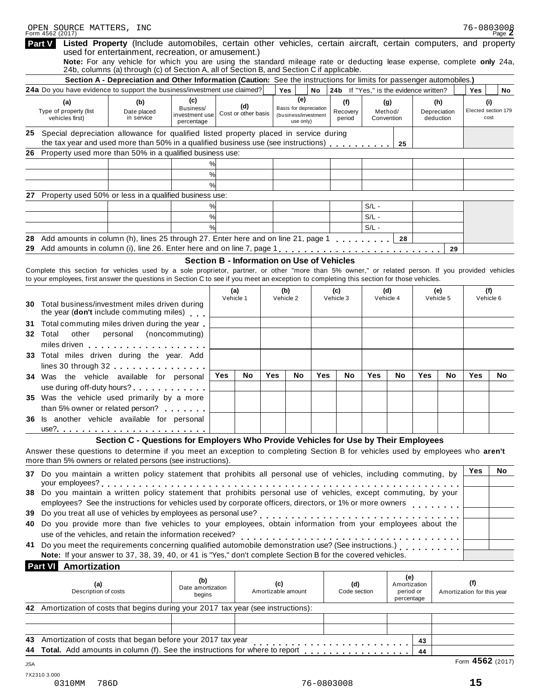| OPEN SOURCE MATTERS, INC<br>Form 4562 (2017)                                                                                                                                                                                                                                                   |                                                                                                                                                                                                                                                                           |                                            |                  |                            |     |                                                             |     |                                        |         |                           |     |                           | 76-0803008                  | Page $Z$ |
|------------------------------------------------------------------------------------------------------------------------------------------------------------------------------------------------------------------------------------------------------------------------------------------------|---------------------------------------------------------------------------------------------------------------------------------------------------------------------------------------------------------------------------------------------------------------------------|--------------------------------------------|------------------|----------------------------|-----|-------------------------------------------------------------|-----|----------------------------------------|---------|---------------------------|-----|---------------------------|-----------------------------|----------|
| <b>Part V</b>                                                                                                                                                                                                                                                                                  | Listed Property (Include automobiles, certain other vehicles, certain aircraft, certain computers, and property                                                                                                                                                           |                                            |                  |                            |     |                                                             |     |                                        |         |                           |     |                           |                             |          |
|                                                                                                                                                                                                                                                                                                | used for entertainment, recreation, or amusement.)<br>Note: For any vehicle for which you are using the standard mileage rate or deducting lease expense, complete only 24a,<br>24b, columns (a) through (c) of Section A, all of Section B, and Section C if applicable. |                                            |                  |                            |     |                                                             |     |                                        |         |                           |     |                           |                             |          |
|                                                                                                                                                                                                                                                                                                | Section A - Depreciation and Other Information (Caution: See the instructions for limits for passenger automobiles.)                                                                                                                                                      |                                            |                  |                            |     |                                                             |     |                                        |         |                           |     |                           |                             |          |
| <b>24a</b> Do you have evidence to support the business/investment use claimed?                                                                                                                                                                                                                |                                                                                                                                                                                                                                                                           |                                            |                  |                            |     | Yes                                                         | No  | 24b If "Yes," is the evidence written? |         |                           |     |                           | Yes                         | No       |
| (a)                                                                                                                                                                                                                                                                                            | (b)                                                                                                                                                                                                                                                                       | (c)                                        |                  |                            |     | (e)                                                         |     | (f)                                    |         | (g)                       |     | (h)                       | (i)                         |          |
| Type of property (list<br>vehicles first)                                                                                                                                                                                                                                                      | Date placed<br>in service                                                                                                                                                                                                                                                 | Business/<br>investment use<br>percentage  |                  | (d)<br>Cost or other basis |     | Basis for depreciation<br>(business/investment<br>use only) |     | Recovery<br>period                     | Method/ | Convention                |     | Depreciation<br>deduction | Elected section 179<br>cost |          |
| 25 Special depreciation allowance for qualified listed property placed in service during<br>the tax year and used more than 50% in a qualified business use (see instructions)                                                                                                                 |                                                                                                                                                                                                                                                                           |                                            |                  |                            |     |                                                             |     |                                        |         |                           |     |                           |                             |          |
| Property used more than 50% in a qualified business use:<br>26                                                                                                                                                                                                                                 |                                                                                                                                                                                                                                                                           |                                            |                  |                            |     |                                                             |     |                                        |         | 25                        |     |                           |                             |          |
|                                                                                                                                                                                                                                                                                                |                                                                                                                                                                                                                                                                           |                                            | %                |                            |     |                                                             |     |                                        |         |                           |     |                           |                             |          |
|                                                                                                                                                                                                                                                                                                |                                                                                                                                                                                                                                                                           |                                            | %                |                            |     |                                                             |     |                                        |         |                           |     |                           |                             |          |
|                                                                                                                                                                                                                                                                                                |                                                                                                                                                                                                                                                                           | %                                          |                  |                            |     |                                                             |     |                                        |         |                           |     |                           |                             |          |
| Property used 50% or less in a qualified business use:<br>27.                                                                                                                                                                                                                                  |                                                                                                                                                                                                                                                                           |                                            |                  |                            |     |                                                             |     |                                        |         |                           |     |                           |                             |          |
|                                                                                                                                                                                                                                                                                                |                                                                                                                                                                                                                                                                           |                                            | %                |                            |     |                                                             |     |                                        | $S/L -$ |                           |     |                           |                             |          |
|                                                                                                                                                                                                                                                                                                |                                                                                                                                                                                                                                                                           |                                            | %                |                            |     |                                                             |     |                                        | $S/L -$ |                           |     |                           |                             |          |
|                                                                                                                                                                                                                                                                                                |                                                                                                                                                                                                                                                                           | %                                          |                  |                            |     |                                                             |     |                                        | $S/L -$ |                           |     |                           |                             |          |
| Add amounts in column (h), lines 25 through 27. Enter here and on line 21, page 1<br>28                                                                                                                                                                                                        |                                                                                                                                                                                                                                                                           |                                            |                  |                            |     |                                                             |     |                                        |         | 28                        |     |                           |                             |          |
| 29 Add amounts in column (i), line 26. Enter here and on line 7, page 1                                                                                                                                                                                                                        |                                                                                                                                                                                                                                                                           |                                            |                  |                            |     |                                                             |     |                                        |         |                           |     | 29                        |                             |          |
|                                                                                                                                                                                                                                                                                                |                                                                                                                                                                                                                                                                           | Section B - Information on Use of Vehicles |                  |                            |     |                                                             |     |                                        |         |                           |     |                           |                             |          |
| Complete this section for vehicles used by a sole proprietor, partner, or other "more than 5% owner," or related person. If you provided vehicles<br>to your employees, first answer the questions in Section C to see if you meet an exception to completing this section for those vehicles. |                                                                                                                                                                                                                                                                           |                                            |                  |                            |     |                                                             |     |                                        |         |                           |     |                           |                             |          |
|                                                                                                                                                                                                                                                                                                |                                                                                                                                                                                                                                                                           |                                            |                  |                            |     |                                                             |     |                                        |         |                           |     | (e)                       | (f)                         |          |
|                                                                                                                                                                                                                                                                                                |                                                                                                                                                                                                                                                                           |                                            | (a)<br>Vehicle 1 |                            |     | (b)<br>Vehicle 2                                            |     | (c)<br>Vehicle 3                       |         | (d)<br>Vehicle 4          |     | Vehicle 5                 | Vehicle 6                   |          |
| <b>30</b> Total business/investment miles driven during<br>the year (don't include commuting miles)                                                                                                                                                                                            |                                                                                                                                                                                                                                                                           |                                            |                  |                            |     |                                                             |     |                                        |         |                           |     |                           |                             |          |
| Total commuting miles driven during the year<br>31                                                                                                                                                                                                                                             |                                                                                                                                                                                                                                                                           |                                            |                  |                            |     |                                                             |     |                                        |         |                           |     |                           |                             |          |
| 32 Total<br>other                                                                                                                                                                                                                                                                              | personal (noncommuting)                                                                                                                                                                                                                                                   |                                            |                  |                            |     |                                                             |     |                                        |         |                           |     |                           |                             |          |
| miles driven                                                                                                                                                                                                                                                                                   |                                                                                                                                                                                                                                                                           |                                            |                  |                            |     |                                                             |     |                                        |         |                           |     |                           |                             |          |
| 33 Total miles driven during the year. Add                                                                                                                                                                                                                                                     |                                                                                                                                                                                                                                                                           |                                            |                  |                            |     |                                                             |     |                                        |         |                           |     |                           |                             |          |
| lines $30$ through $32$                                                                                                                                                                                                                                                                        |                                                                                                                                                                                                                                                                           |                                            |                  |                            |     |                                                             |     |                                        |         |                           |     |                           |                             |          |
| 34 Was the vehicle available for personal                                                                                                                                                                                                                                                      |                                                                                                                                                                                                                                                                           |                                            | Yes              | No                         | Yes | No                                                          | Yes | No                                     | Yes     | No                        | Yes | No                        | Yes                         | No       |
| use during off-duty hours?                                                                                                                                                                                                                                                                     |                                                                                                                                                                                                                                                                           |                                            |                  |                            |     |                                                             |     |                                        |         |                           |     |                           |                             |          |
| 35 Was the vehicle used primarily by a more                                                                                                                                                                                                                                                    |                                                                                                                                                                                                                                                                           |                                            |                  |                            |     |                                                             |     |                                        |         |                           |     |                           |                             |          |
| than 5% owner or related person?                                                                                                                                                                                                                                                               |                                                                                                                                                                                                                                                                           |                                            |                  |                            |     |                                                             |     |                                        |         |                           |     |                           |                             |          |
| 36 Is another vehicle available for personal                                                                                                                                                                                                                                                   |                                                                                                                                                                                                                                                                           |                                            |                  |                            |     |                                                             |     |                                        |         |                           |     |                           |                             |          |
|                                                                                                                                                                                                                                                                                                |                                                                                                                                                                                                                                                                           |                                            |                  |                            |     |                                                             |     |                                        |         |                           |     |                           |                             |          |
| Answer these questions to determine if you meet an exception to completing Section B for vehicles used by employees who aren't                                                                                                                                                                 | Section C - Questions for Employers Who Provide Vehicles for Use by Their Employees                                                                                                                                                                                       |                                            |                  |                            |     |                                                             |     |                                        |         |                           |     |                           |                             |          |
| more than 5% owners or related persons (see instructions).                                                                                                                                                                                                                                     |                                                                                                                                                                                                                                                                           |                                            |                  |                            |     |                                                             |     |                                        |         |                           |     |                           |                             |          |
| 37 Do you maintain a written policy statement that prohibits all personal use of vehicles, including commuting, by                                                                                                                                                                             |                                                                                                                                                                                                                                                                           |                                            |                  |                            |     |                                                             |     |                                        |         |                           |     |                           | Yes                         | No       |
| 38 Do you maintain a written policy statement that prohibits personal use of vehicles, except commuting, by your                                                                                                                                                                               |                                                                                                                                                                                                                                                                           |                                            |                  |                            |     |                                                             |     |                                        |         |                           |     |                           |                             |          |
| employees? See the instructions for vehicles used by corporate officers, directors, or 1% or more owners                                                                                                                                                                                       |                                                                                                                                                                                                                                                                           |                                            |                  |                            |     |                                                             |     |                                        |         |                           |     |                           |                             |          |
| 39 Do you treat all use of vehicles by employees as personal use?                                                                                                                                                                                                                              |                                                                                                                                                                                                                                                                           |                                            |                  |                            |     |                                                             |     |                                        |         |                           |     |                           |                             |          |
| 40 Do you provide more than five vehicles to your employees, obtain information from your employees about the                                                                                                                                                                                  |                                                                                                                                                                                                                                                                           |                                            |                  |                            |     |                                                             |     | .                                      |         |                           |     |                           |                             |          |
| use of the vehicles, and retain the information received?                                                                                                                                                                                                                                      |                                                                                                                                                                                                                                                                           |                                            |                  |                            |     | .                                                           |     |                                        |         |                           |     |                           |                             |          |
| 41 Do you meet the requirements concerning qualified automobile demonstration use? (See instructions.)                                                                                                                                                                                         |                                                                                                                                                                                                                                                                           |                                            |                  |                            |     |                                                             |     |                                        |         |                           |     |                           |                             |          |
| Note: If your answer to 37, 38, 39, 40, or 41 is "Yes," don't complete Section B for the covered vehicles.                                                                                                                                                                                     |                                                                                                                                                                                                                                                                           |                                            |                  |                            |     |                                                             |     |                                        |         |                           |     |                           |                             |          |
| <b>Part VI</b> Amortization                                                                                                                                                                                                                                                                    |                                                                                                                                                                                                                                                                           |                                            |                  |                            |     |                                                             |     |                                        |         |                           |     |                           |                             |          |
|                                                                                                                                                                                                                                                                                                |                                                                                                                                                                                                                                                                           | (b)                                        |                  |                            |     |                                                             |     |                                        |         | (e)                       |     |                           | (f)                         |          |
| (a)<br>Description of costs                                                                                                                                                                                                                                                                    |                                                                                                                                                                                                                                                                           | Date amortization                          |                  |                            | (c) | Amortizable amount                                          |     | (d)<br>Code section                    |         | Amortization<br>period or |     |                           | Amortization for this year  |          |
|                                                                                                                                                                                                                                                                                                |                                                                                                                                                                                                                                                                           | begins                                     |                  |                            |     |                                                             |     |                                        |         | percentage                |     |                           |                             |          |
| 42 Amortization of costs that begins during your 2017 tax year (see instructions):                                                                                                                                                                                                             |                                                                                                                                                                                                                                                                           |                                            |                  |                            |     |                                                             |     |                                        |         |                           |     |                           |                             |          |
|                                                                                                                                                                                                                                                                                                |                                                                                                                                                                                                                                                                           |                                            |                  |                            |     |                                                             |     |                                        |         |                           |     |                           |                             |          |
| 43 Amortization of costs that began before your 2017 tax year                                                                                                                                                                                                                                  |                                                                                                                                                                                                                                                                           |                                            |                  |                            |     |                                                             |     |                                        |         |                           |     |                           |                             |          |
|                                                                                                                                                                                                                                                                                                |                                                                                                                                                                                                                                                                           |                                            |                  |                            |     |                                                             |     |                                        |         |                           | 43  |                           |                             |          |
|                                                                                                                                                                                                                                                                                                |                                                                                                                                                                                                                                                                           |                                            |                  |                            |     |                                                             |     |                                        |         |                           | 44  |                           |                             |          |

Form **4562** (2017) JSA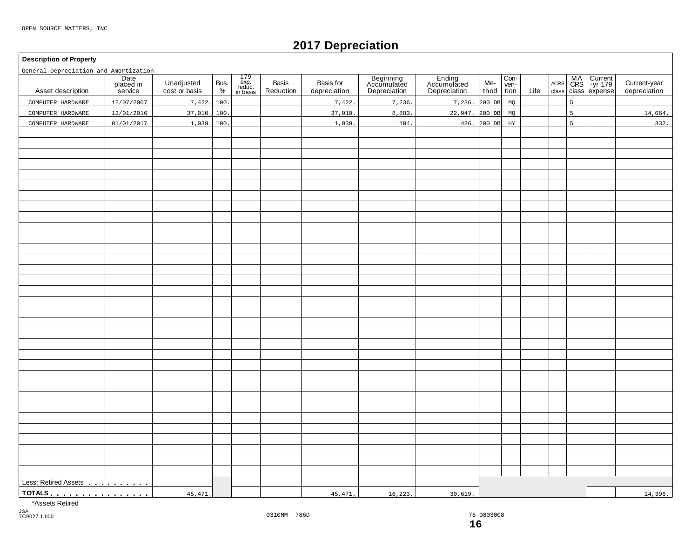# **2017 Depreciation**

#### **Description of Property**

General Depreciation and Amortization

| General Depreciation and Amortization      |                              |                             |              |                                                                                        |                    |                           |                                          |                                       |             |                      |      |                     |   |                                            |                              |
|--------------------------------------------|------------------------------|-----------------------------|--------------|----------------------------------------------------------------------------------------|--------------------|---------------------------|------------------------------------------|---------------------------------------|-------------|----------------------|------|---------------------|---|--------------------------------------------|------------------------------|
| Asset description                          | Date<br>placed in<br>service | Unadjusted<br>cost or basis | Bus.<br>$\%$ | $\begin{array}{c} 179 \\ \text{exp.} \\ \text{reduce.} \\ \text{in basis} \end{array}$ | Basis<br>Reduction | Basis for<br>depreciation | Beginning<br>Accumulated<br>Depreciation | Ending<br>Accumulated<br>Depreciation | Me-<br>thod | Con-<br>ven-<br>tion | Life | $\sf ACRS$<br>class |   | MA Current<br>CRS -yr 179<br>class expense | Current-year<br>depreciation |
| COMPUTER HARDWARE                          | 12/07/2007                   | 7,422.                      | 100          |                                                                                        |                    | 7,422.                    | 7,236.                                   | 7,236.                                | $200$ DB    | MQ                   |      |                     | 5 |                                            |                              |
| COMPUTER HARDWARE                          | 12/01/2016                   | 37,010.                     | 100          |                                                                                        |                    | 37,010.                   | 8,883                                    | 22,947. 200 DB                        |             | MQ                   |      |                     | 5 |                                            | 14,064.                      |
| COMPUTER HARDWARE                          | 01/01/2017                   | 1,039.                      | 100          |                                                                                        |                    | 1,039                     | 104.                                     |                                       | 436.200 DB  | $_{\rm HY}$          |      |                     | 5 |                                            | 332.                         |
|                                            |                              |                             |              |                                                                                        |                    |                           |                                          |                                       |             |                      |      |                     |   |                                            |                              |
|                                            |                              |                             |              |                                                                                        |                    |                           |                                          |                                       |             |                      |      |                     |   |                                            |                              |
|                                            |                              |                             |              |                                                                                        |                    |                           |                                          |                                       |             |                      |      |                     |   |                                            |                              |
|                                            |                              |                             |              |                                                                                        |                    |                           |                                          |                                       |             |                      |      |                     |   |                                            |                              |
|                                            |                              |                             |              |                                                                                        |                    |                           |                                          |                                       |             |                      |      |                     |   |                                            |                              |
|                                            |                              |                             |              |                                                                                        |                    |                           |                                          |                                       |             |                      |      |                     |   |                                            |                              |
|                                            |                              |                             |              |                                                                                        |                    |                           |                                          |                                       |             |                      |      |                     |   |                                            |                              |
|                                            |                              |                             |              |                                                                                        |                    |                           |                                          |                                       |             |                      |      |                     |   |                                            |                              |
|                                            |                              |                             |              |                                                                                        |                    |                           |                                          |                                       |             |                      |      |                     |   |                                            |                              |
|                                            |                              |                             |              |                                                                                        |                    |                           |                                          |                                       |             |                      |      |                     |   |                                            |                              |
|                                            |                              |                             |              |                                                                                        |                    |                           |                                          |                                       |             |                      |      |                     |   |                                            |                              |
|                                            |                              |                             |              |                                                                                        |                    |                           |                                          |                                       |             |                      |      |                     |   |                                            |                              |
|                                            |                              |                             |              |                                                                                        |                    |                           |                                          |                                       |             |                      |      |                     |   |                                            |                              |
|                                            |                              |                             |              |                                                                                        |                    |                           |                                          |                                       |             |                      |      |                     |   |                                            |                              |
|                                            |                              |                             |              |                                                                                        |                    |                           |                                          |                                       |             |                      |      |                     |   |                                            |                              |
|                                            |                              |                             |              |                                                                                        |                    |                           |                                          |                                       |             |                      |      |                     |   |                                            |                              |
|                                            |                              |                             |              |                                                                                        |                    |                           |                                          |                                       |             |                      |      |                     |   |                                            |                              |
|                                            |                              |                             |              |                                                                                        |                    |                           |                                          |                                       |             |                      |      |                     |   |                                            |                              |
|                                            |                              |                             |              |                                                                                        |                    |                           |                                          |                                       |             |                      |      |                     |   |                                            |                              |
|                                            |                              |                             |              |                                                                                        |                    |                           |                                          |                                       |             |                      |      |                     |   |                                            |                              |
|                                            |                              |                             |              |                                                                                        |                    |                           |                                          |                                       |             |                      |      |                     |   |                                            |                              |
|                                            |                              |                             |              |                                                                                        |                    |                           |                                          |                                       |             |                      |      |                     |   |                                            |                              |
|                                            |                              |                             |              |                                                                                        |                    |                           |                                          |                                       |             |                      |      |                     |   |                                            |                              |
|                                            |                              |                             |              |                                                                                        |                    |                           |                                          |                                       |             |                      |      |                     |   |                                            |                              |
|                                            |                              |                             |              |                                                                                        |                    |                           |                                          |                                       |             |                      |      |                     |   |                                            |                              |
|                                            |                              |                             |              |                                                                                        |                    |                           |                                          |                                       |             |                      |      |                     |   |                                            |                              |
|                                            |                              |                             |              |                                                                                        |                    |                           |                                          |                                       |             |                      |      |                     |   |                                            |                              |
|                                            |                              |                             |              |                                                                                        |                    |                           |                                          |                                       |             |                      |      |                     |   |                                            |                              |
|                                            |                              |                             |              |                                                                                        |                    |                           |                                          |                                       |             |                      |      |                     |   |                                            |                              |
|                                            |                              |                             |              |                                                                                        |                    |                           |                                          |                                       |             |                      |      |                     |   |                                            |                              |
|                                            |                              |                             |              |                                                                                        |                    |                           |                                          |                                       |             |                      |      |                     |   |                                            |                              |
| Less: Retired Assets<br><u>example and</u> |                              |                             |              |                                                                                        |                    |                           |                                          |                                       |             |                      |      |                     |   |                                            |                              |
| <u>TOTALS</u>                              |                              | 45,471.                     |              |                                                                                        |                    | 45,471                    | 16, 223.                                 | 30,619.                               |             |                      |      |                     |   |                                            | 14,396.                      |

\*Assets Retired

JSA 7C9027 1.000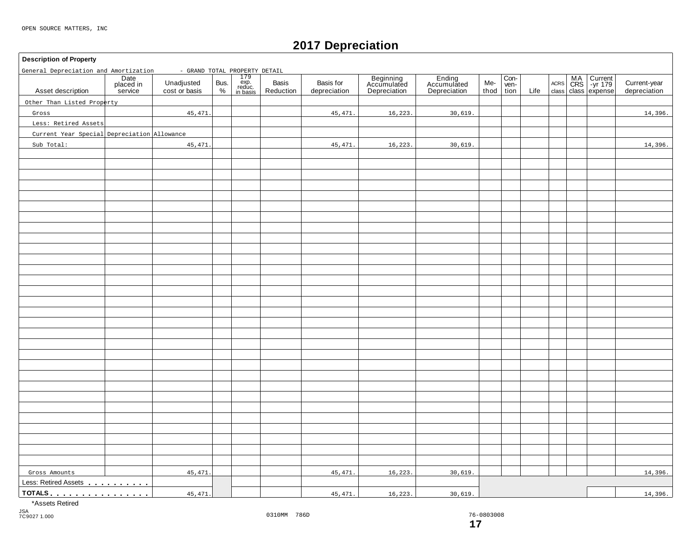**Description of Property**

General Depreciation and Amortization - GRAND TOTAL PROPERTY DETAIL

### **2017 Depreciation**

#### 179 exp. reduc. in basis **Date** placed in service **Beginning** Accumulated Depreciation Basis | Basis for | Beginning | Ending | Me-<br>Reduction depreciation | Depreciation | Depreciation | thoc Con-<br>ven-<br>tion MA Current |<br>CRS | -yr 179 | Unadjusted Bus. exp. Basis Basis Basis for Accumulated Accumulated Me- wen- Acres CRS -yr 179 |<br>
cost or basis % | reduction | depreciation | Depreciation | Depreciation | thod tion Life class class expense Unadjusted Bus.<br>cost or basis  $\begin{array}{c} \circ \\ \circ \circ \end{array}$ Basis<br>Reduction thod ACRS Asset description | placed in Unadjusted Bus. exp. Basis Basis Current-year Accumulated Accumulated Me- Ven- Accumulated Accumulated Accumulated Me- Ven- Accumulated Accumulated Accumulated Accumulated Me- Ven- Accumulated Gross Amounts<br>Less: Retired Assets . . . . . . . . . **TOTALS manufacturer memory memory of**  $\mathbf{m}$ Other Than Listed Property Gross Less: Retired Assets Current Year Special Depreciation Allowance Sub Total: 45,471. 45,471. 45,471. 45,471. 16,223. 16,223. 30,619. 30,619. Gross Amounts | 45,471.| | 16,223.| 30,619. | | | | 14,396. 45,471. 45,471. 45,471. 16,223. 16,223. 30,619. 30,619. 14,396.

\*Assets Retired

14,396.

14,396.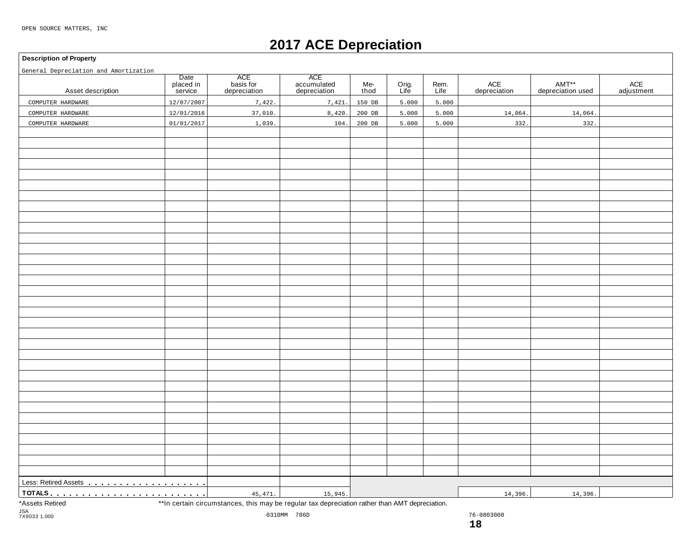# **2017 ACE Depreciation**

#### **Description of Property**

General Depreciation and Amortization

| General Depreciation and Amortization<br>Asset description | Date<br>placed in<br>service | ACE<br>basis for<br>depreciation                                                                | ACE<br>accumulated<br>depreciation | Me-<br>thod | Orig.<br>Life | Rem.<br>Life | ACE<br>depreciation | AMT**<br>depreciation used | ACE<br>adjustment |
|------------------------------------------------------------|------------------------------|-------------------------------------------------------------------------------------------------|------------------------------------|-------------|---------------|--------------|---------------------|----------------------------|-------------------|
| COMPUTER HARDWARE                                          | 12/07/2007                   | 7,422.                                                                                          | 7,421.                             | 150 DB      | 5.000         | 5.000        |                     |                            |                   |
| COMPUTER HARDWARE                                          | 12/01/2016                   | 37,010.                                                                                         | 8,420.                             | 200 DB      | 5.000         | 5.000        | 14,064.             | 14,064.                    |                   |
| COMPUTER HARDWARE                                          | 01/01/2017                   | 1,039                                                                                           | 104.                               | $200$ DB    | 5.000         | 5.000        | 332.                | 332.                       |                   |
|                                                            |                              |                                                                                                 |                                    |             |               |              |                     |                            |                   |
|                                                            |                              |                                                                                                 |                                    |             |               |              |                     |                            |                   |
|                                                            |                              |                                                                                                 |                                    |             |               |              |                     |                            |                   |
|                                                            |                              |                                                                                                 |                                    |             |               |              |                     |                            |                   |
|                                                            |                              |                                                                                                 |                                    |             |               |              |                     |                            |                   |
|                                                            |                              |                                                                                                 |                                    |             |               |              |                     |                            |                   |
|                                                            |                              |                                                                                                 |                                    |             |               |              |                     |                            |                   |
|                                                            |                              |                                                                                                 |                                    |             |               |              |                     |                            |                   |
|                                                            |                              |                                                                                                 |                                    |             |               |              |                     |                            |                   |
|                                                            |                              |                                                                                                 |                                    |             |               |              |                     |                            |                   |
|                                                            |                              |                                                                                                 |                                    |             |               |              |                     |                            |                   |
|                                                            |                              |                                                                                                 |                                    |             |               |              |                     |                            |                   |
|                                                            |                              |                                                                                                 |                                    |             |               |              |                     |                            |                   |
|                                                            |                              |                                                                                                 |                                    |             |               |              |                     |                            |                   |
|                                                            |                              |                                                                                                 |                                    |             |               |              |                     |                            |                   |
|                                                            |                              |                                                                                                 |                                    |             |               |              |                     |                            |                   |
|                                                            |                              |                                                                                                 |                                    |             |               |              |                     |                            |                   |
|                                                            |                              |                                                                                                 |                                    |             |               |              |                     |                            |                   |
|                                                            |                              |                                                                                                 |                                    |             |               |              |                     |                            |                   |
|                                                            |                              |                                                                                                 |                                    |             |               |              |                     |                            |                   |
|                                                            |                              |                                                                                                 |                                    |             |               |              |                     |                            |                   |
|                                                            |                              |                                                                                                 |                                    |             |               |              |                     |                            |                   |
|                                                            |                              |                                                                                                 |                                    |             |               |              |                     |                            |                   |
|                                                            |                              |                                                                                                 |                                    |             |               |              |                     |                            |                   |
|                                                            |                              |                                                                                                 |                                    |             |               |              |                     |                            |                   |
|                                                            |                              |                                                                                                 |                                    |             |               |              |                     |                            |                   |
|                                                            |                              |                                                                                                 |                                    |             |               |              |                     |                            |                   |
|                                                            |                              |                                                                                                 |                                    |             |               |              |                     |                            |                   |
|                                                            |                              |                                                                                                 |                                    |             |               |              |                     |                            |                   |
|                                                            |                              |                                                                                                 |                                    |             |               |              |                     |                            |                   |
|                                                            |                              |                                                                                                 |                                    |             |               |              |                     |                            |                   |
|                                                            |                              |                                                                                                 |                                    |             |               |              |                     |                            |                   |
| Less: Retired Assets <b></b>                               |                              |                                                                                                 |                                    |             |               |              |                     |                            |                   |
|                                                            |                              | 45, 471.                                                                                        | 15,945.                            |             |               |              | 14,396.             | 14,396.                    |                   |
| *Assets Retired                                            |                              | ** In certain circumstances, this may be regular tax depreciation rather than AMT depreciation. |                                    |             |               |              |                     |                            |                   |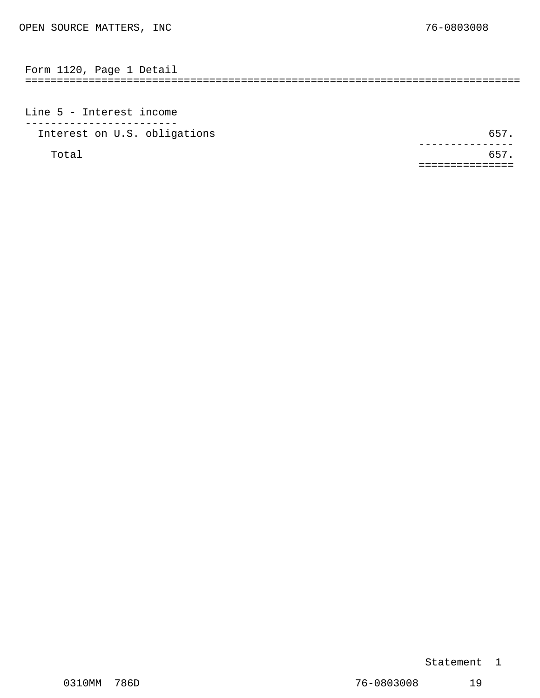<span id="page-11-0"></span>============================================================================== Form 1120, Page 1 Detail

Line 5 - Interest income ------------------------ Interest on U.S. obligations 657.

Total 657. ---------------<br>.657 ===============

#### Statement 1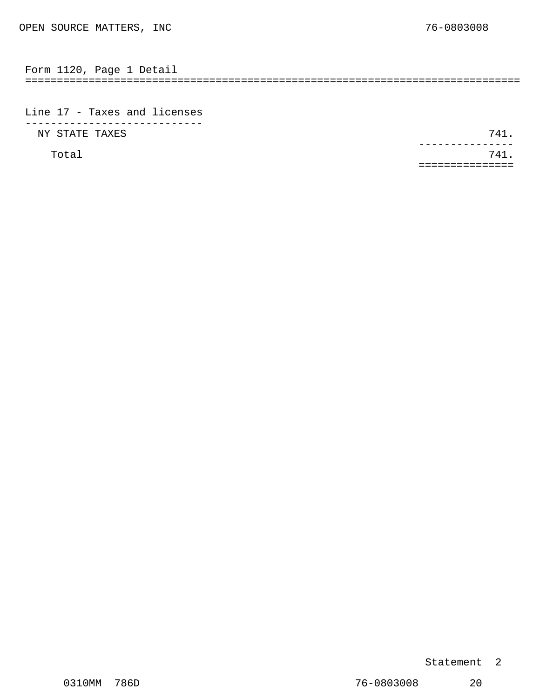<span id="page-12-0"></span>

| Form | 1120 | Page | Detaii |  |
|------|------|------|--------|--|
|      |      |      |        |  |

Line 17 - Taxes and licenses ---------------------------- NY STATE TAXES 741.

Total 741. ---------------<br>741. ===============

#### Statement 2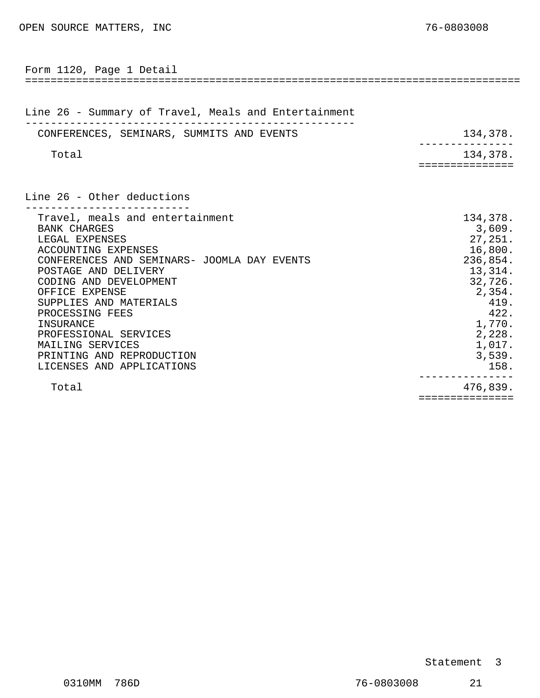<span id="page-13-0"></span>

| Form 1120, Page 1 Detail                                                                                                                                                                                                                                                                                                                                                            |                                                                                                                                                      |
|-------------------------------------------------------------------------------------------------------------------------------------------------------------------------------------------------------------------------------------------------------------------------------------------------------------------------------------------------------------------------------------|------------------------------------------------------------------------------------------------------------------------------------------------------|
| Line 26 - Summary of Travel, Meals and Entertainment                                                                                                                                                                                                                                                                                                                                |                                                                                                                                                      |
| CONFERENCES, SEMINARS, SUMMITS AND EVENTS                                                                                                                                                                                                                                                                                                                                           | 134,378.                                                                                                                                             |
| Total                                                                                                                                                                                                                                                                                                                                                                               | 134,378.                                                                                                                                             |
|                                                                                                                                                                                                                                                                                                                                                                                     | =========                                                                                                                                            |
| Line 26 - Other deductions                                                                                                                                                                                                                                                                                                                                                          |                                                                                                                                                      |
| Travel, meals and entertainment<br><b>BANK CHARGES</b><br>LEGAL EXPENSES<br>ACCOUNTING EXPENSES<br>CONFERENCES AND SEMINARS- JOOMLA DAY EVENTS<br>POSTAGE AND DELIVERY<br>CODING AND DEVELOPMENT<br>OFFICE EXPENSE<br>SUPPLIES AND MATERIALS<br>PROCESSING FEES<br>INSURANCE<br>PROFESSIONAL SERVICES<br>MAILING SERVICES<br>PRINTING AND REPRODUCTION<br>LICENSES AND APPLICATIONS | 134,378.<br>3,609.<br>27,251.<br>16,800.<br>236,854.<br>13,314.<br>32,726.<br>2,354.<br>419.<br>422.<br>1,770.<br>2,228.<br>1,017.<br>3,539.<br>158. |
| Total                                                                                                                                                                                                                                                                                                                                                                               | 476,839.                                                                                                                                             |

===============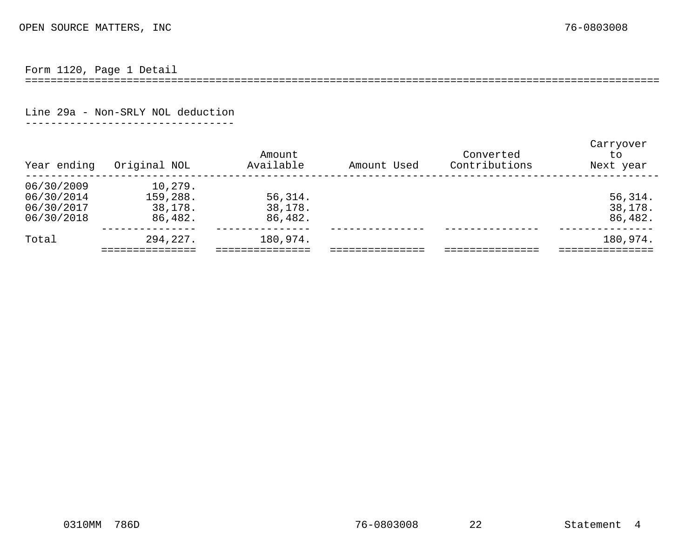Form 1120, Page 1 Detail

====================================================================================================

Line 29a - Non-SRLY NOL deduction

---------------------------------

<span id="page-14-0"></span>

| Year ending | Original NOL | Amount<br>Available | Amount Used | Converted<br>Contributions | Carryover<br>to<br>Next year |
|-------------|--------------|---------------------|-------------|----------------------------|------------------------------|
| 06/30/2009  | 10,279.      |                     |             |                            |                              |
| 06/30/2014  | 159,288.     | 56,314.             |             |                            | 56,314.                      |
| 06/30/2017  | 38,178.      | 38,178.             |             |                            | 38,178.                      |
| 06/30/2018  | 86,482.      | 86,482.             |             |                            | 86,482.                      |
| Total       | 294,227.     | 180,974.            |             |                            | 180,974.                     |
|             |              |                     |             |                            |                              |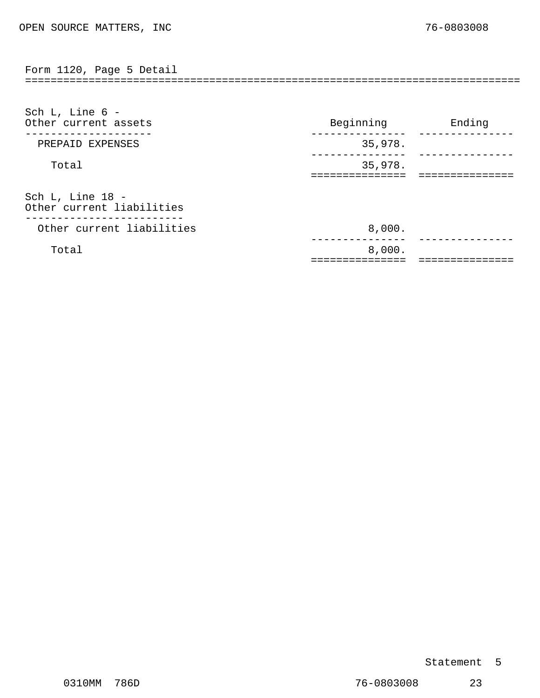<span id="page-15-0"></span>============================================================================== Form 1120, Page 5 Detail

| Sch L, Line $6 -$<br>Other current assets        | Beginning | Ending |
|--------------------------------------------------|-----------|--------|
| PREPAID EXPENSES                                 | 35,978.   |        |
| Total                                            | 35,978.   |        |
| Sch L, Line 18 -<br>Other current liabilities    |           |        |
| -------------------<br>Other current liabilities | 8,000.    |        |
| Total                                            | 8,000.    |        |

#### Statement 5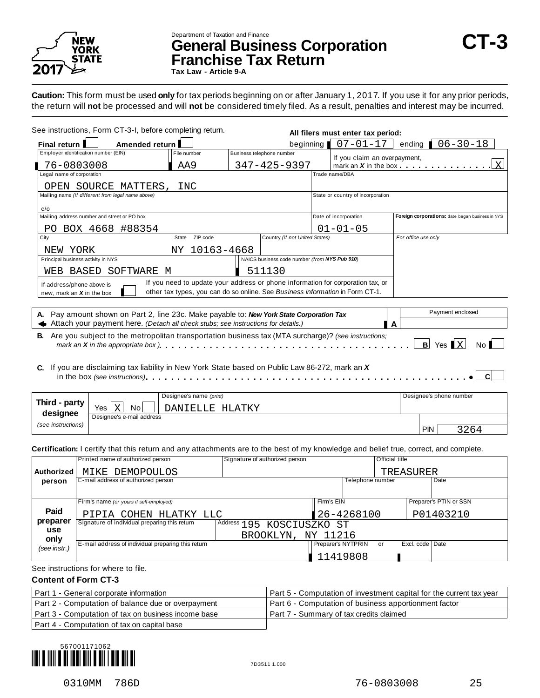

### Department of Taxation and Finance **General Business Corporation CT-3 Franchise Tax Return**

**Tax Law - Article 9-A**

**Caution:** This form must be used **only** for tax periods beginning on or after January 1, 2017. If you use it for any prior periods, the return will **not** be processed and will **not** be considered timely filed. As a result, penalties and interest may be incurred.

| See instructions, Form CT-3-I, before completing return.                                                                                                                                                                                                                    |                |                                                                               |                                               | All filers must enter tax period:                                               |                     |                                                  |
|-----------------------------------------------------------------------------------------------------------------------------------------------------------------------------------------------------------------------------------------------------------------------------|----------------|-------------------------------------------------------------------------------|-----------------------------------------------|---------------------------------------------------------------------------------|---------------------|--------------------------------------------------|
| Final return I                                                                                                                                                                                                                                                              | Amended return |                                                                               | beginning                                     | $07 - 01 - 17$                                                                  | ending              | $06 - 30 - 18$                                   |
| Employer identification number (EIN)                                                                                                                                                                                                                                        |                | File number                                                                   | Business telephone number                     | If you claim an overpayment,                                                    |                     |                                                  |
| 76-0803008                                                                                                                                                                                                                                                                  |                | AA9                                                                           | 347-425-9397                                  | mark an $X$ in the box $\qquad \qquad \qquad$                                   |                     | $\mathsf{X}$                                     |
| Legal name of corporation                                                                                                                                                                                                                                                   |                |                                                                               |                                               | Trade name/DBA                                                                  |                     |                                                  |
| OPEN SOURCE MATTERS,                                                                                                                                                                                                                                                        |                | INC                                                                           |                                               |                                                                                 |                     |                                                  |
| Mailing name (if different from legal name above)                                                                                                                                                                                                                           |                |                                                                               |                                               | State or country of incorporation                                               |                     |                                                  |
| c/o                                                                                                                                                                                                                                                                         |                |                                                                               |                                               |                                                                                 |                     |                                                  |
| Mailing address number and street or PO box                                                                                                                                                                                                                                 |                |                                                                               |                                               | Date of incorporation                                                           |                     | Foreign corporations: date began business in NYS |
| BOX 4668 #88354<br>PO.                                                                                                                                                                                                                                                      |                |                                                                               |                                               | $01 - 01 - 05$                                                                  |                     |                                                  |
| City                                                                                                                                                                                                                                                                        |                | ZIP code<br>State                                                             | Country (if not United States)                |                                                                                 | For office use only |                                                  |
| NEW YORK                                                                                                                                                                                                                                                                    |                | 10163-4668<br>NY.                                                             |                                               |                                                                                 |                     |                                                  |
| Principal business activity in NYS                                                                                                                                                                                                                                          |                |                                                                               | NAICS business code number (from NYS Pub 910) |                                                                                 |                     |                                                  |
| WEB BASED                                                                                                                                                                                                                                                                   | SOFTWARE M     |                                                                               | 511130                                        |                                                                                 |                     |                                                  |
| If address/phone above is                                                                                                                                                                                                                                                   |                |                                                                               |                                               | If you need to update your address or phone information for corporation tax, or |                     |                                                  |
| new, mark an $X$ in the box                                                                                                                                                                                                                                                 |                | other tax types, you can do so online. See Business information in Form CT-1. |                                               |                                                                                 |                     |                                                  |
|                                                                                                                                                                                                                                                                             |                |                                                                               |                                               |                                                                                 |                     |                                                  |
| A. Pay amount shown on Part 2, line 23c. Make payable to: New York State Corporation Tax                                                                                                                                                                                    |                |                                                                               |                                               |                                                                                 |                     | Payment enclosed                                 |
| $\blacktriangleleft$ Attach your payment here. (Detach all check stubs; see instructions for details.)                                                                                                                                                                      |                |                                                                               |                                               |                                                                                 | A                   |                                                  |
| <b>B.</b> Are you subject to the metropolitan transportation business tax (MTA surcharge)? (see instructions;<br>mark an <b>X</b> in the appropriate box $\}$ , $\ldots$ , $\ldots$ , $\ldots$ , $\ldots$ , $\ldots$ , $\ldots$ , $\ldots$ , $\ldots$ , $\ldots$ , $\ldots$ |                |                                                                               |                                               |                                                                                 | B                   | $Yes$ $X$<br>No l                                |
| C. If you are disclaiming tax liability in New York State based on Public Law 86-272, mark an X                                                                                                                                                                             |                |                                                                               |                                               |                                                                                 |                     |                                                  |

|                    |                             | Designee's name (print) |     | Designee's phone number |
|--------------------|-----------------------------|-------------------------|-----|-------------------------|
| Third - party      | No<br>$\overline{X}$<br>Yes | HLATKY<br>DANTEIJE.     |     |                         |
| designee           | Designee's e-mail address   |                         |     |                         |
| (see instructions) |                             |                         | PIN | 3264                    |

**Certification:** I certify that this return and any attachments are to the best of my knowledge and belief true, correct, and complete.

|                                                                          | Printed name of authorized person                  | Signature of authorized person |                    | <b>Official title</b> |                        |
|--------------------------------------------------------------------------|----------------------------------------------------|--------------------------------|--------------------|-----------------------|------------------------|
| Authorized                                                               | MIKE DEMOPOULOS                                    |                                |                    |                       | TREASURER              |
| person                                                                   | E-mail address of authorized person                |                                |                    | Telephone number      | Date                   |
|                                                                          |                                                    |                                |                    |                       |                        |
|                                                                          | Firm's name (or yours if self-employed)            |                                | Firm's EIN         |                       | Preparer's PTIN or SSN |
| Paid                                                                     | PIPIA COHEN HLATKY LLC                             |                                | 26-4268100         |                       | P01403210              |
| preparer                                                                 | Signature of individual preparing this return      | Address 195 KOSCIUSZKO ST      |                    |                       |                        |
| use<br>only                                                              |                                                    | BROOKLYN,                      | NY 11216           |                       |                        |
| (see instr.)                                                             | E-mail address of individual preparing this return |                                | Preparer's NYTPRIN | or                    | Excl. code Date        |
|                                                                          |                                                    |                                | 11419808           |                       |                        |
| $\mathbf{r}$ , $\mathbf{r}$ , $\mathbf{r}$ , $\mathbf{r}$ , $\mathbf{r}$ |                                                    |                                |                    |                       |                        |

#### See instructions for where to file.

#### **Content of Form CT-3**

| Part 1 - General corporate information              | Part 5 - Computation of investment capital for the current tax year |
|-----------------------------------------------------|---------------------------------------------------------------------|
| Part 2 - Computation of balance due or overpayment  | Part 6 - Computation of business apportionment factor               |
| Part 3 - Computation of tax on business income base | Part 7 - Summary of tax credits claimed                             |
| Part 4 - Computation of tax on capital base         |                                                                     |

567001171062 {Yg"2+\_} 7D3511 1.000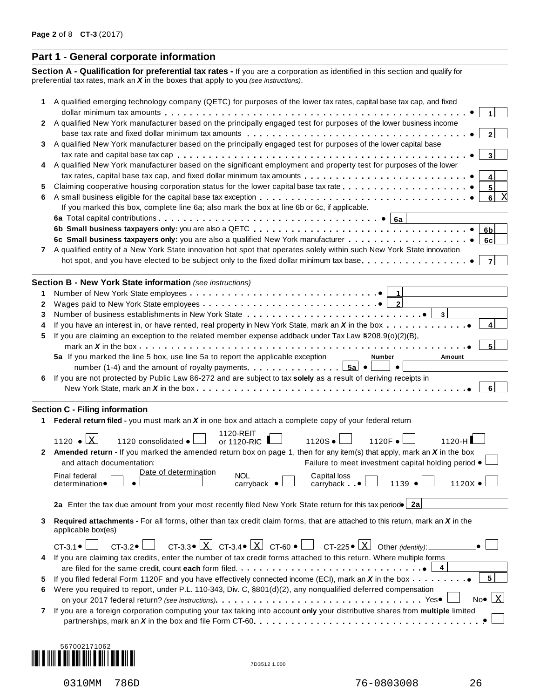#### **Part 1 - General corporate information**

**Section A - Qualification for preferential tax rates -** If you are a corporation as identified in this section and qualify for preferential tax rates, mark an *X* in the boxes that apply to you *(see instructions)*.

| 1 | A qualified emerging technology company (QETC) for purposes of the lower tax rates, capital base tax cap, and fixed                                                                                                                                                       |
|---|---------------------------------------------------------------------------------------------------------------------------------------------------------------------------------------------------------------------------------------------------------------------------|
| 2 | A qualified New York manufacturer based on the principally engaged test for purposes of the lower business income                                                                                                                                                         |
|   |                                                                                                                                                                                                                                                                           |
| 3 | A qualified New York manufacturer based on the principally engaged test for purposes of the lower capital base                                                                                                                                                            |
|   | 3                                                                                                                                                                                                                                                                         |
| 4 | A qualified New York manufacturer based on the significant employment and property test for purposes of the lower                                                                                                                                                         |
| 5 | 4<br>5                                                                                                                                                                                                                                                                    |
| 6 | 6                                                                                                                                                                                                                                                                         |
|   | If you marked this box, complete line 6a; also mark the box at line 6b or 6c, if applicable.                                                                                                                                                                              |
|   |                                                                                                                                                                                                                                                                           |
|   | 6 <sub>b</sub>                                                                                                                                                                                                                                                            |
|   | 6c                                                                                                                                                                                                                                                                        |
| 7 | A qualified entity of a New York State innovation hot spot that operates solely within such New York State innovation                                                                                                                                                     |
|   | hot spot, and you have elected to be subject only to the fixed dollar minimum tax base<br>$\overline{7}$                                                                                                                                                                  |
|   | Section B - New York State information (see instructions)                                                                                                                                                                                                                 |
| 1 | $\vert$ 1                                                                                                                                                                                                                                                                 |
| 2 |                                                                                                                                                                                                                                                                           |
| 3 | $\vert$ 3<br>Number of business establishments in New York State entitled in the entitled vertical set of business $\bullet$                                                                                                                                              |
| 4 | If you have an interest in, or have rented, real property in New York State, mark an X in the box<br>4                                                                                                                                                                    |
| 5 | If you are claiming an exception to the related member expense addback under Tax Law §208.9(o)(2)(B),                                                                                                                                                                     |
|   | mark an <b>X</b> in the box $\ldots$ $\ldots$ $\ldots$ $\ldots$ $\ldots$ $\ldots$ $\ldots$ $\ldots$ $\ldots$ $\ldots$ $\ldots$ $\ldots$ $\ldots$ $\ldots$ $\ldots$<br>5a If you marked the line 5 box, use line 5a to report the applicable exception<br>Amount<br>Number |
|   | number (1-4) and the amount of royalty payments. $\boxed{5a} \bullet$                                                                                                                                                                                                     |
| 6 | If you are not protected by Public Law 86-272 and are subject to tax solely as a result of deriving receipts in                                                                                                                                                           |
|   |                                                                                                                                                                                                                                                                           |
|   |                                                                                                                                                                                                                                                                           |
|   | <b>Section C - Filing information</b>                                                                                                                                                                                                                                     |
|   | Federal return filed - you must mark an $X$ in one box and attach a complete copy of your federal return                                                                                                                                                                  |
|   | 1120-REIT<br>1120 $\bullet$ X<br>$1120S \bullet$<br>1120F •<br>1120 consolidated .<br>or 1120-RIC<br>$1120-H$                                                                                                                                                             |
| 2 | <b>Amended return - If you marked the amended return box on page 1, then for any item(s) that apply, mark an X in the box</b>                                                                                                                                             |
|   | and attach documentation:<br>Failure to meet investment capital holding period •                                                                                                                                                                                          |
|   |                                                                                                                                                                                                                                                                           |
|   | Date of determination                                                                                                                                                                                                                                                     |
|   | <b>Final federal</b><br><b>NOL</b><br>Capital loss<br>$1120X \bullet$<br>1139<br>determination●<br>carryback $\bullet$<br>$carrback \bullet$                                                                                                                              |
|   |                                                                                                                                                                                                                                                                           |
|   | 2a Enter the tax due amount from your most recently filed New York State return for this tax periodo 2a                                                                                                                                                                   |
| 3 | Required attachments - For all forms, other than tax credit claim forms, that are attached to this return, mark an X in the                                                                                                                                               |
|   | applicable box(es)                                                                                                                                                                                                                                                        |
|   | CT-3.3 $\bullet$ $\boxed{\text{X}}$ CT-3.4 $\bullet$ $\boxed{\text{X}}$ CT-60 $\bullet$ $\boxed{\phantom{\text{X}}}$ CT-225 $\bullet$ $\boxed{\text{X}}$ Other (identify):<br>$CT-3.2 \bullet$ $\Box$<br>$CT-3.1$                                                         |
| 4 | If you are claiming tax credits, enter the number of tax credit forms attached to this return. Where multiple forms                                                                                                                                                       |
|   | 4                                                                                                                                                                                                                                                                         |
| 5 | 5 <br>If you filed federal Form 1120F and you have effectively connected income (ECI), mark an X in the box                                                                                                                                                               |
| 6 | Were you required to report, under P.L. 110-343, Div. C, \$801(d)(2), any nonqualified deferred compensation<br>$No\bullet$   X                                                                                                                                           |
| 7 |                                                                                                                                                                                                                                                                           |
|   | If you are a foreign corporation computing your tax taking into account only your distributive shares from multiple limited                                                                                                                                               |



÷,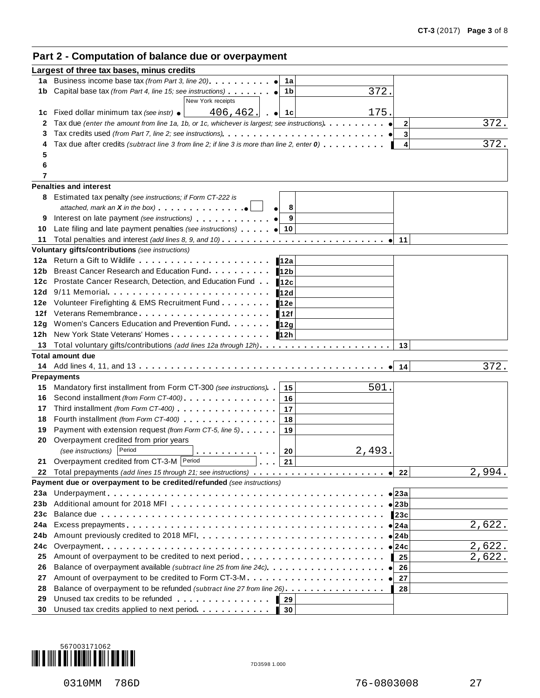#### **Part 2 - Computation of balance due or overpayment**

|            | Largest of three tax bases, minus credits                                                                                                                                                                                                           |               |
|------------|-----------------------------------------------------------------------------------------------------------------------------------------------------------------------------------------------------------------------------------------------------|---------------|
| 1a         | Business income base tax (from Part 3, line 20)<br>1a                                                                                                                                                                                               |               |
| 1b         | 372.<br>Capital base tax (from Part 4, line 15; see instructions)<br>1b                                                                                                                                                                             |               |
|            | New York receipts                                                                                                                                                                                                                                   |               |
| 1c         | 175.<br>406, 462.<br>Fixed dollar minimum tax (see instr) $\bullet$<br>. ● 1c                                                                                                                                                                       |               |
| 2          | Tax due (enter the amount from line 1a, 1b, or 1c, whichever is largest; see instructions)                                                                                                                                                          | 372.<br>2     |
| 3          |                                                                                                                                                                                                                                                     | 3             |
|            | Tax due after credits (subtract line 3 from line 2; if line 3 is more than line 2, enter $0$ ).                                                                                                                                                     | 372.<br>4     |
| 5          |                                                                                                                                                                                                                                                     |               |
| 6          |                                                                                                                                                                                                                                                     |               |
| 7          |                                                                                                                                                                                                                                                     |               |
|            | <b>Penalties and interest</b>                                                                                                                                                                                                                       |               |
|            | 8 Estimated tax penalty (see instructions; if Form CT-222 is                                                                                                                                                                                        |               |
|            | 8                                                                                                                                                                                                                                                   |               |
| 9          | 9<br>Interest on late payment (see instructions)                                                                                                                                                                                                    |               |
| 10         | Late filing and late payment penalties (see instructions) $ $ $ $ 10                                                                                                                                                                                |               |
| 11         |                                                                                                                                                                                                                                                     | 11            |
|            | Voluntary gifts/contributions (see instructions)                                                                                                                                                                                                    |               |
| 12a        | Return a Gift to Wildlife <b>Container and the set of the Return and Gift to Wildlife Containers</b><br>12a                                                                                                                                         |               |
| 12b        | Breast Cancer Research and Education Fund.<br>12b                                                                                                                                                                                                   |               |
| 12с<br>12d | Prostate Cancer Research, Detection, and Education Fund<br>12c<br>$9/11$ Memorial                                                                                                                                                                   |               |
| 12e        | <b>12d</b><br>Volunteer Firefighting & EMS Recruitment Fund                                                                                                                                                                                         |               |
| 12f        | 12e<br>Veterans Remembrance experience and the set of the set of the set of the set of the set of the set of the set o                                                                                                                              |               |
| 12g        | 12f<br>Women's Cancers Education and Prevention Fund.                                                                                                                                                                                               |               |
| 12h        | 12g<br>New York State Veterans' Homes<br>12h                                                                                                                                                                                                        |               |
| 13         |                                                                                                                                                                                                                                                     | 13            |
|            | <b>Total amount due</b>                                                                                                                                                                                                                             |               |
|            |                                                                                                                                                                                                                                                     | 372.<br>14    |
|            | <b>Prepayments</b>                                                                                                                                                                                                                                  |               |
| 15         | 501.<br>Mandatory first installment from Form CT-300 (see instructions).<br>15                                                                                                                                                                      |               |
| 16         | Second installment (from Form CT-400)<br>16                                                                                                                                                                                                         |               |
| 17         | 17                                                                                                                                                                                                                                                  |               |
| 18         | 18                                                                                                                                                                                                                                                  |               |
| 19         | Payment with extension request (from Form CT-5, line 5)<br>19                                                                                                                                                                                       |               |
| 20         | Overpayment credited from prior years                                                                                                                                                                                                               |               |
|            | (see instructions) Period<br>2,493.<br>20                                                                                                                                                                                                           |               |
| 21         | Overpayment credited from CT-3-M Period<br>$\vert$ 21                                                                                                                                                                                               |               |
| 22         |                                                                                                                                                                                                                                                     | 2,994.<br>22  |
|            | Payment due or overpayment to be credited/refunded (see instructions)                                                                                                                                                                               |               |
| 23a        |                                                                                                                                                                                                                                                     | $\bullet$ 23a |
| 23b        |                                                                                                                                                                                                                                                     | ∣23b          |
| 23c        |                                                                                                                                                                                                                                                     | 123c          |
| 24a        |                                                                                                                                                                                                                                                     | 2,622.<br>24a |
| 24b        |                                                                                                                                                                                                                                                     | 24b           |
| 24с        |                                                                                                                                                                                                                                                     | 2,622.<br>24с |
| 25         | Amount of overpayment to be credited to next period                                                                                                                                                                                                 | 2,622.<br>25  |
| 26         | Balance of overpayment available (subtract line 25 from line 24c)                                                                                                                                                                                   | 26            |
| 27         | Amount of overpayment to be credited to Form CT-3-M                                                                                                                                                                                                 | 27            |
| 28         | Balance of overpayment to be refunded (subtract line 27 from line 26).                                                                                                                                                                              | 28            |
| 29         | Unused tax credits to be refunded expansion of the state of the state of the state of the state of the state of the state of the state of the state of the state of the state of the state of the state of the state of the st<br>$\blacksquare$ 29 |               |
| 30         | Unused tax credits applied to next period.<br>l 30                                                                                                                                                                                                  |               |

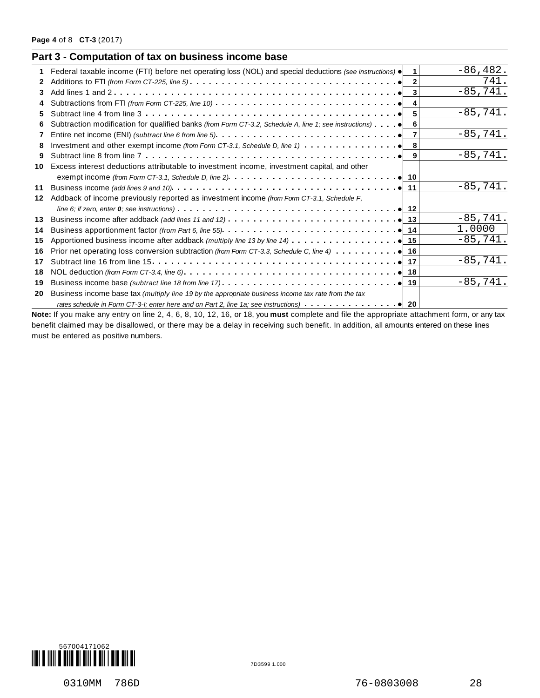|    | Part 3 - Computation of tax on business income base                                                                                       |                      |             |
|----|-------------------------------------------------------------------------------------------------------------------------------------------|----------------------|-------------|
| 1. | Federal taxable income (FTI) before net operating loss (NOL) and special deductions (see instructions) $\bullet$                          | $\blacktriangleleft$ | $-86, 482.$ |
| 2  |                                                                                                                                           |                      | 741.        |
| 3  |                                                                                                                                           |                      | $-85,741.$  |
|    | Subtractions from FTI (from Form CT-225, line 10) $\ldots \ldots \ldots \ldots \ldots \ldots \ldots \ldots \ldots \ldots$                 |                      |             |
| 5. | Subtract line 4 from line 3 $\dots \dots \dots \dots \dots \dots \dots \dots \dots \dots \dots \dots \dots \dots \dots$                   | 5 <sup>1</sup>       | $-85,741.$  |
| 6  | Subtraction modification for qualified banks (from Form CT-3.2, Schedule A, line 1; see instructions)                                     | 6                    |             |
|    |                                                                                                                                           | $\overline{7}$       | $-85,741.$  |
| 8  | Investment and other exempt income (from Form CT-3.1, Schedule D, line 1) $\cdots$ $\cdots$ $\cdots$ $\cdots$ $\cdots$ $\bullet$ 8        |                      |             |
| 9  |                                                                                                                                           |                      | $-85,741.$  |
| 10 | Excess interest deductions attributable to investment income, investment capital, and other                                               |                      |             |
|    |                                                                                                                                           |                      |             |
| 11 |                                                                                                                                           |                      | $-85,741.$  |
| 12 | Addback of income previously reported as investment income (from Form CT-3.1, Schedule F,                                                 |                      |             |
|    |                                                                                                                                           |                      |             |
| 13 |                                                                                                                                           |                      | $-85,741.$  |
| 14 |                                                                                                                                           |                      | 1.0000      |
| 15 | Apportioned business income after addback (multiply line 13 by line 14) $\ldots \ldots \ldots \ldots$                                     |                      | $-85,741.$  |
| 16 |                                                                                                                                           |                      |             |
| 17 |                                                                                                                                           |                      | $-85,741.$  |
| 18 |                                                                                                                                           |                      |             |
| 19 |                                                                                                                                           |                      | $-85,741.$  |
| 20 | Business income base tax (multiply line 19 by the appropriate business income tax rate from the tax                                       |                      |             |
|    | rates schedule in Form CT-3-I; enter here and on Part 2, line 1a; see instructions) $\ldots \ldots \ldots \ldots$                         |                      |             |
|    | Note: If you make any entry on line 2, 4, 6, 8, 10, 12, 16, or 18, you must complete and file the appropriate attachment form, or any tax |                      |             |

benefit claimed may be disallowed, or there may be a delay in receiving such benefit. In addition, all amounts entered on these lines must be entered as positive numbers.



0310MM 786D 28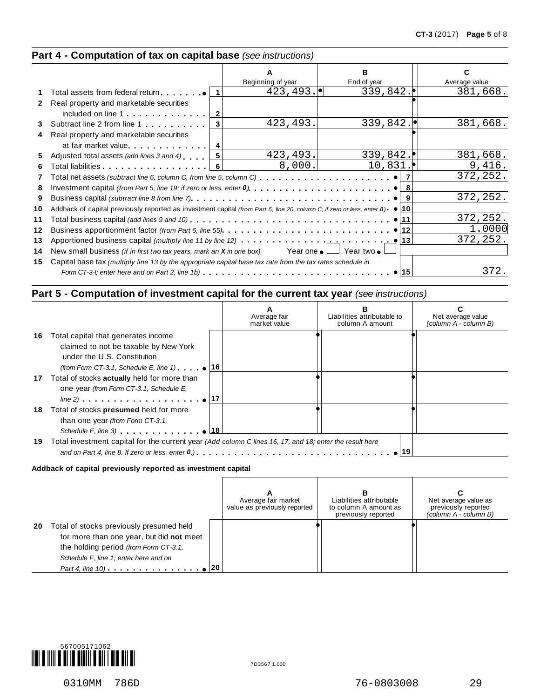#### **Part 4 - Computation of tax on capital base** *(see instructions)*

|              |                                                                                                                                          |                   | в           |               |
|--------------|------------------------------------------------------------------------------------------------------------------------------------------|-------------------|-------------|---------------|
|              |                                                                                                                                          | Beginning of year | End of year | Average value |
|              | Total assets from federal return $ 1 $                                                                                                   | 423, 493.         | 339,842.    | 381,668.      |
| $\mathbf{2}$ | Real property and marketable securities                                                                                                  |                   |             |               |
|              | included on line 1                                                                                                                       |                   |             |               |
| 3            | Subtract line 2 from line 1<br>$\vert$ 3                                                                                                 | 423, 493.         | 339,842.    | 381,668.      |
| 4            | Real property and marketable securities                                                                                                  |                   |             |               |
|              | at fair market value                                                                                                                     |                   |             |               |
| 5            | Adjusted total assets (add lines 3 and 4)                                                                                                | 423, 493.         | 339,842.    | 381,668.      |
| 6            | Total liabilities   6                                                                                                                    | 8,000.            | 10,831.     | 9,416.        |
| 7            | Total net assets (subtract line 6, column C, from line 5, column C) $\ldots \ldots \ldots \ldots \ldots \ldots \bullet \vert$            |                   |             | 372, 252.     |
| 8            | Investment capital (from Part 5, line 19; if zero or less, enter $0, \ldots, \ldots, \ldots, \ldots, \ldots, \bullet \mid 8$             |                   |             |               |
| 9            |                                                                                                                                          |                   |             | 372,252.      |
| 10           | Addback of capital previously reported as investment capital (from Part 5, line 20, column C; if zero or less, enter $0$ ) $\bullet$ 10  |                   |             |               |
| 11           | Total business capital <i>(add lines 9 and 10)</i> ................................ <b>e</b> 11                                          |                   |             | 372,252.      |
| 12           |                                                                                                                                          |                   |             | 1.0000        |
| 13           | Apportioned business capital (multiply line 11 by line 12) $\cdots \cdots \cdots \cdots$ $\cdots$ $\cdots$ $\cdots$ $\cdots$ $\qquad$ 13 |                   |             | 372,252.      |
| 14           | New small business <i>(if in first two tax years, mark an X in one box)</i> Year one $\bullet$ Year two $\bullet$                        |                   |             |               |
| 15           | Capital base tax (multiply line 13 by the appropriate capital base tax rate from the tax rates schedule in                               |                   |             |               |
|              |                                                                                                                                          |                   | 15          | 372.          |
|              |                                                                                                                                          |                   |             |               |

#### **Part 5 - Computation of investment capital for the current tax year** *(see instructions)*

|     |                                                                                                         | Average fair<br>market value | Liabilities attributable to<br>column A amount | Net average value<br>(column A - column B) |
|-----|---------------------------------------------------------------------------------------------------------|------------------------------|------------------------------------------------|--------------------------------------------|
| 16. | Total capital that generates income                                                                     |                              |                                                |                                            |
|     | claimed to not be taxable by New York                                                                   |                              |                                                |                                            |
|     | under the U.S. Constitution                                                                             |                              |                                                |                                            |
|     | (from Form CT-3.1, Schedule E, line 1) $\bullet$ 16                                                     |                              |                                                |                                            |
|     | 17 Total of stocks <b>actually</b> held for more than                                                   |                              |                                                |                                            |
|     | one year (from Form CT-3.1, Schedule E,                                                                 |                              |                                                |                                            |
|     |                                                                                                         |                              |                                                |                                            |
| 18  | Total of stocks presumed held for more                                                                  |                              |                                                |                                            |
|     | than one year (from Form CT-3.1,                                                                        |                              |                                                |                                            |
|     | Schedule E, line 3) $\qquad \qquad \bullet$ 18                                                          |                              |                                                |                                            |
| 19  | Total investment capital for the current year (Add column C lines 16, 17, and 18; enter the result here |                              |                                                |                                            |
|     |                                                                                                         |                              |                                                |                                            |

#### **Addback of capital previously reported as investment capital**

|    |                                                                                                                                                                                                        | Average fair market<br>value as previously reported | в<br>Liabilities attributable<br>to column A amount as<br>previously reported | Net average value as<br>previously reported<br>(column A - column B) |
|----|--------------------------------------------------------------------------------------------------------------------------------------------------------------------------------------------------------|-----------------------------------------------------|-------------------------------------------------------------------------------|----------------------------------------------------------------------|
| 20 | Total of stocks previously presumed held<br>for more than one year, but did not meet<br>the holding period (from Form CT-3.1,<br>Schedule F, line 1; enter here and on<br><i>Part 4, line 10)</i> ● 20 |                                                     |                                                                               |                                                                      |

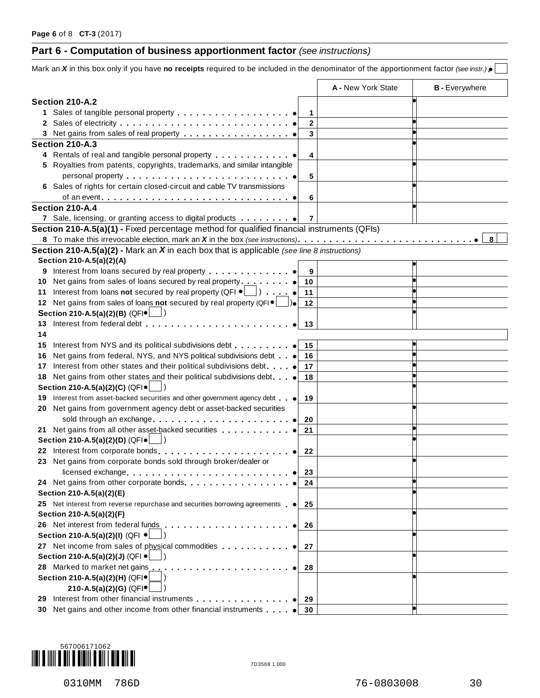### **Part 6 - Computation of business apportionment factor** *(see instructions)*

|                                                                                                                               |                       | A - New York State | <b>B</b> - Everywhere |
|-------------------------------------------------------------------------------------------------------------------------------|-----------------------|--------------------|-----------------------|
| Section 210-A.2                                                                                                               |                       |                    |                       |
|                                                                                                                               | 1                     |                    |                       |
|                                                                                                                               | $\mathbf 2$           |                    |                       |
|                                                                                                                               | 3                     |                    |                       |
| Section 210-A.3                                                                                                               |                       |                    |                       |
| 4 Rentals of real and tangible personal property                                                                              | 4                     |                    |                       |
| 5 Royalties from patents, copyrights, trademarks, and similar intangible                                                      |                       |                    |                       |
|                                                                                                                               |                       |                    |                       |
| 6 Sales of rights for certain closed-circuit and cable TV transmissions                                                       | 5                     |                    |                       |
|                                                                                                                               |                       |                    |                       |
| Section 210-A.4                                                                                                               | 6                     |                    |                       |
|                                                                                                                               | 7                     |                    |                       |
|                                                                                                                               |                       |                    |                       |
| Section 210-A.5(a)(1) - Fixed percentage method for qualified financial instruments (QFIs)                                    |                       |                    | 8                     |
|                                                                                                                               |                       |                    |                       |
| <b>Section 210-A.5(a)(2) - Mark an X in each box that is applicable</b> (see line 8 instructions)<br>Section 210-A.5(a)(2)(A) |                       |                    |                       |
| Interest from loans secured by real property                                                                                  |                       |                    |                       |
| 9                                                                                                                             | 9                     |                    |                       |
| 10<br>Interest from loans not secured by real property (QFI $\bullet$ \[etc]) $\bullet$                                       | 10                    |                    |                       |
| 11<br>12 Net gains from sales of loans not secured by real property (QFI .)                                                   | 11<br>$\bullet$<br>12 |                    |                       |
|                                                                                                                               |                       |                    |                       |
| Section 210-A.5(a)(2)(B) (QFI $\bullet$                                                                                       |                       |                    |                       |
| 13                                                                                                                            | 13                    |                    |                       |
| 14                                                                                                                            |                       |                    |                       |
| Interest from NYS and its political subdivisions debt <b>contained</b><br>15                                                  | 15                    |                    |                       |
| Net gains from federal, NYS, and NYS political subdivisions debt<br>16                                                        | 16                    |                    |                       |
| Interest from other states and their political subdivisions debt.<br>17                                                       | 17                    |                    |                       |
| Net gains from other states and their political subdivisions debt<br>18                                                       | 18                    |                    |                       |
| Section 210-A.5(a)(2)(C) (QFI .                                                                                               |                       |                    |                       |
| 19 Interest from asset-backed securities and other government agency debt                                                     | 19                    |                    |                       |
| Net gains from government agency debt or asset-backed securities<br>20                                                        |                       |                    |                       |
|                                                                                                                               | 20                    |                    |                       |
|                                                                                                                               | 21                    |                    |                       |
| Section 210-A.5(a)(2)(D) (QFI $\bullet$                                                                                       |                       |                    |                       |
| 22 Interest from corporate bonds                                                                                              | 22                    |                    |                       |
| 23 Net gains from corporate bonds sold through broker/dealer or                                                               |                       |                    |                       |
| licensed exchange                                                                                                             | 23                    |                    |                       |
|                                                                                                                               | 24                    |                    |                       |
| Section 210-A.5(a)(2)(E)                                                                                                      |                       |                    |                       |
| 25 Net interest from reverse repurchase and securities borrowing agreements $\bullet$                                         | 25                    |                    |                       |
| Section 210-A.5(a)(2)(F)                                                                                                      |                       |                    |                       |
| 26 Net interest from federal funds                                                                                            | 26                    |                    |                       |
| Section 210-A.5(a)(2)(l) (QFI $\bullet$                                                                                       |                       |                    |                       |
| 27 Net income from sales of physical commodities expression of the same of physical commodities                               | 27                    |                    |                       |
| Section 210-A.5(a)(2)(J) (QFI $\bullet$   )                                                                                   |                       |                    |                       |
| 28 Marked to market net gains<br>.                                                                                            | 28                    |                    |                       |
| Section 210-A.5(a)(2)(H) (QFI·                                                                                                |                       |                    |                       |
| 210-A.5(a)(2)(G) (QFI·                                                                                                        |                       |                    |                       |
|                                                                                                                               | 29                    |                    |                       |
| 30 Net gains and other income from other financial instruments                                                                | -30                   |                    |                       |

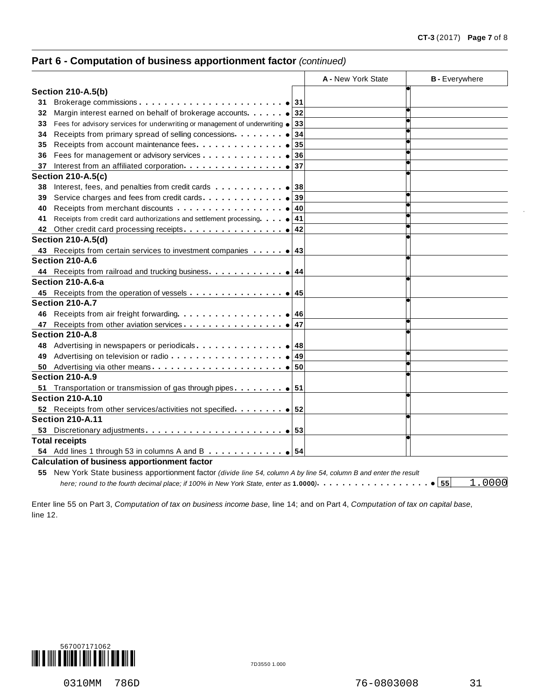#### **Part 6 - Computation of business apportionment factor** *(continued)*

|    |                                                                                                                     | A - New York State | <b>B</b> - Everywhere  |
|----|---------------------------------------------------------------------------------------------------------------------|--------------------|------------------------|
|    | <b>Section 210-A.5(b)</b>                                                                                           |                    |                        |
| 31 | -31                                                                                                                 |                    |                        |
| 32 | Margin interest earned on behalf of brokerage accounts<br>32                                                        |                    |                        |
| 33 | Fees for advisory services for underwriting or management of underwriting .<br>33                                   |                    |                        |
| 34 | Receipts from primary spread of selling concessions<br>34                                                           |                    |                        |
| 35 | Receipts from account maintenance fees.<br>35                                                                       |                    |                        |
| 36 | Fees for management or advisory services<br>36                                                                      |                    |                        |
| 37 | 37                                                                                                                  |                    |                        |
|    | <b>Section 210-A.5(c)</b>                                                                                           |                    |                        |
| 38 | Interest, fees, and penalties from credit cards<br>38                                                               |                    |                        |
| 39 | Service charges and fees from credit cards.<br>39                                                                   |                    |                        |
| 40 | 40                                                                                                                  |                    |                        |
| 41 | 41                                                                                                                  |                    |                        |
| 42 | 42                                                                                                                  |                    |                        |
|    | <b>Section 210-A.5(d)</b>                                                                                           |                    |                        |
|    | 43 Receipts from certain services to investment companies 43                                                        |                    |                        |
|    | Section 210-A.6                                                                                                     |                    |                        |
|    |                                                                                                                     |                    |                        |
|    | Section 210-A.6-a                                                                                                   |                    |                        |
|    |                                                                                                                     |                    |                        |
|    | Section 210-A.7                                                                                                     |                    |                        |
|    | 46                                                                                                                  |                    |                        |
| 47 | 47                                                                                                                  |                    |                        |
|    | Section 210-A.8                                                                                                     |                    |                        |
|    | 48 Advertising in newspapers or periodicals<br>48                                                                   |                    |                        |
| 49 | 49                                                                                                                  |                    |                        |
| 50 |                                                                                                                     |                    |                        |
|    | Section 210-A.9                                                                                                     |                    |                        |
|    | 51 Transportation or transmission of gas through pipes $\dots \dots$ $\bullet$ 51                                   |                    |                        |
|    | <b>Section 210-A.10</b>                                                                                             |                    |                        |
|    |                                                                                                                     |                    |                        |
|    | <b>Section 210-A.11</b>                                                                                             |                    |                        |
| 53 |                                                                                                                     |                    |                        |
|    | <b>Total receipts</b>                                                                                               |                    |                        |
|    | 54 Add lines 1 through 53 in columns A and B $\ldots$ $\bullet$ 54                                                  |                    |                        |
|    | <b>Calculation of business apportionment factor</b>                                                                 |                    |                        |
|    | 55 New York State business apportionment factor (divide line 54, column A by line 54, column B and enter the result |                    |                        |
|    | here; round to the fourth decimal place; if 100% in New York State, enter as 1.0000). $\ldots$ .                    |                    | 1.0000<br>$\bullet$ 55 |

Enter line 55 on Part 3, *Computation of tax on business income base*, line 14; and on Part 4, *Computation of tax on capital base*, line 12.

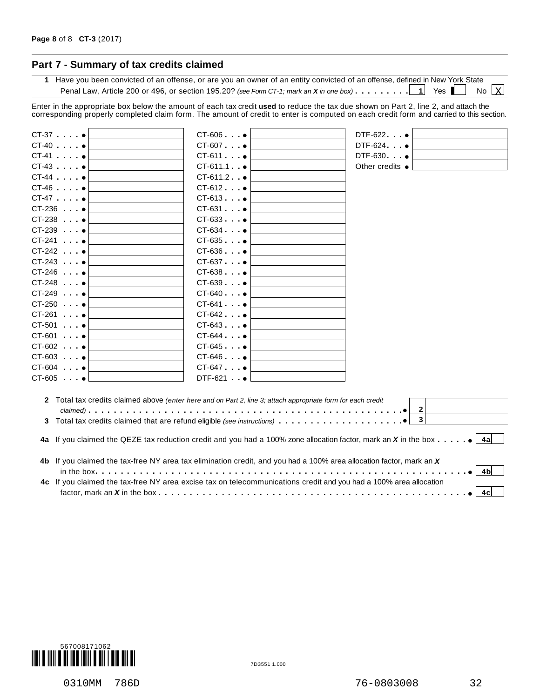#### **Part 7 - Summary of tax credits claimed**

**1** Have you been convicted of an offense, or are you an owner of an entity convicted of an offense, defined in New York State Penal Law, Article 200 or 496, or section 195.20? *(see Form CT-1; mark an*  $X$  *in* one box)  $\dots \dots \dots \dots 1$  Yes No  $X$ 

Enter in the appropriate box below the amount of each tax credit **used** to reduce the tax due shown on Part 2, line 2, and attach the corresponding properly completed claim form. The amount of credit to enter is computed on each credit form and carried to this section.

| $CT-37$ $•$          | CT-606 •                                                                                                            | $DTF-622$ $\bullet$                                                                                                                              |
|----------------------|---------------------------------------------------------------------------------------------------------------------|--------------------------------------------------------------------------------------------------------------------------------------------------|
| $CT-40$ . $\bullet$  | $CT-607$ $•$                                                                                                        | DTF-624 •                                                                                                                                        |
| $CT-41$ . $•$        | $CT-611$                                                                                                            | DTF-630 •                                                                                                                                        |
| $CT-43$ $•$          | $CT-611.1$ $\bullet$                                                                                                | Other credits $\bullet$                                                                                                                          |
| $CT-44$              | $CT-611.2$ $\bullet$                                                                                                |                                                                                                                                                  |
| $CT-46$ .            | $CT-612$ $•$                                                                                                        |                                                                                                                                                  |
| $CT-47$ $\bullet$    | $CT-613$ $•$                                                                                                        |                                                                                                                                                  |
| $CT-236$ $\bullet$   | $CT-631$ $•$                                                                                                        |                                                                                                                                                  |
| $CT-238$ $\bullet$   | $CT-633$                                                                                                            |                                                                                                                                                  |
| $CT-239$             | $CT-634$                                                                                                            |                                                                                                                                                  |
| $CT-241$ . $•$       | $CT-635$ $\bullet$                                                                                                  |                                                                                                                                                  |
| $CT-242$ $\bullet$   | $CT-636$ $\bullet$                                                                                                  |                                                                                                                                                  |
| $CT-243$             | $CT-637$ $\bullet$                                                                                                  |                                                                                                                                                  |
| $CT-246$ $\bullet$   | $CT-638$ $\bullet$                                                                                                  |                                                                                                                                                  |
| $CT-248$ $\bullet$   | $CT-639$ $\bullet$                                                                                                  |                                                                                                                                                  |
| $CT-249$ $\bullet$   | $CT-640$                                                                                                            |                                                                                                                                                  |
| $CT-250$ $•$         | $CT-641$ $\bullet$                                                                                                  |                                                                                                                                                  |
| $CT-261$ $\bullet$   | $CT-642$ $\bullet$                                                                                                  |                                                                                                                                                  |
| $CT-501$ $\bullet$   | $CT-643$                                                                                                            |                                                                                                                                                  |
| $CT-601$ . $•$       | $CT-644$ $\bullet$                                                                                                  |                                                                                                                                                  |
| $CT-602$ . $\bullet$ | $CT-645$ $\bullet$                                                                                                  |                                                                                                                                                  |
| $CT-603$ $\bullet$   | $CT-646$ $\bullet$                                                                                                  |                                                                                                                                                  |
| $CT-604$ $•$         | $CT-647$ $\bullet$                                                                                                  |                                                                                                                                                  |
| $CT-605$ $•$         | $DTF-621$ $\bullet$                                                                                                 |                                                                                                                                                  |
|                      | 2 Total tax credits claimed above (enter here and on Part 2, line 3; attach appropriate form for each credit        |                                                                                                                                                  |
|                      |                                                                                                                     | $\mathbf{2}$                                                                                                                                     |
|                      |                                                                                                                     | $\overline{\mathbf{3}}$                                                                                                                          |
|                      |                                                                                                                     | 4a If you claimed the QEZE tax reduction credit and you had a 100% zone allocation factor, mark an X in the box $\cdots$ $\cdots$ $\bullet$ [4a] |
|                      | 4b If you claimed the tax-free NY area tax elimination credit, and you had a 100% area allocation factor, mark an X |                                                                                                                                                  |
|                      |                                                                                                                     | 4bl                                                                                                                                              |
|                      | 4c If you claimed the tax-free NY area excise tax on telecommunications credit and you had a 100% area allocation   | 4cl                                                                                                                                              |
|                      |                                                                                                                     |                                                                                                                                                  |

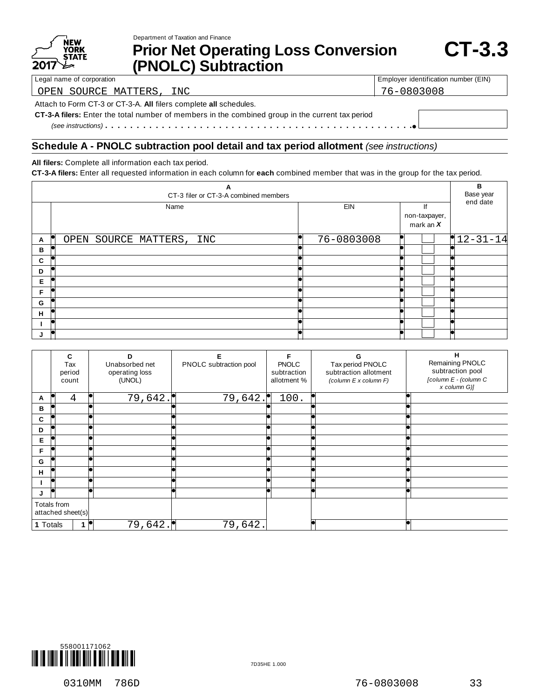|      | NEW<br>YORK  |
|------|--------------|
|      | <b>STATE</b> |
| 2017 |              |

Department of Taxation and Finance

# **Prior Net Operating Loss Conversion (PNOLC) Subtraction**

Legal name of corporation **Employer identification number (EIN)** Employer identification number (EIN) OPEN SOURCE MATTERS, INC 76-0803008

Attach to Form CT-3 or CT-3-A. **All** filers complete **all** schedules.

**CT-3-A filers:** Enter the total number of members in the combined group in the current tax period *(see instructions)* mm m m m m m m m m m m m m m m m m m m m m m m m m m m m m m m m m m m m m m m m m m m m m m m m%

#### **Schedule A - PNOLC subtraction pool detail and tax period allotment** *(see instructions)*

**All filers:** Complete all information each tax period.

**CT-3-A filers:** Enter all requested information in each column for **each** combined member that was in the group for the tax period.

| А<br>CT-3 filer or CT-3-A combined members |                          |            |                                    |            |  |  |  |
|--------------------------------------------|--------------------------|------------|------------------------------------|------------|--|--|--|
|                                            | Name                     | EIN        | If<br>non-taxpayer,<br>mark an $X$ | end date   |  |  |  |
| $\mathbf{A}$                               | OPEN SOURCE MATTERS, INC | 76-0803008 |                                    | $12-31-14$ |  |  |  |
| B                                          |                          |            |                                    |            |  |  |  |
| C                                          |                          |            |                                    |            |  |  |  |
| D                                          |                          |            |                                    |            |  |  |  |
| Е                                          |                          |            |                                    |            |  |  |  |
| F                                          |                          |            |                                    |            |  |  |  |
| G                                          |                          |            |                                    |            |  |  |  |
| н                                          |                          |            |                                    |            |  |  |  |
|                                            |                          |            |                                    |            |  |  |  |
|                                            |                          |            |                                    |            |  |  |  |

|          | C<br>Tax<br>period<br>count      | D<br>Unabsorbed net<br>operating loss<br>(UNOL) | Е<br>PNOLC subtraction pool | <b>PNOLC</b><br>subtraction<br>allotment % | G<br>Tax period PNOLC<br>subtraction allotment<br>(column E x column F) | H<br>Remaining PNOLC<br>subtraction pool<br>[column E - (column C<br>x column G)] |
|----------|----------------------------------|-------------------------------------------------|-----------------------------|--------------------------------------------|-------------------------------------------------------------------------|-----------------------------------------------------------------------------------|
| A        | 4                                | 79,642.                                         | 79,642.                     | 100.                                       |                                                                         |                                                                                   |
| в        |                                  |                                                 |                             |                                            |                                                                         |                                                                                   |
| C        |                                  |                                                 |                             |                                            |                                                                         |                                                                                   |
| D        |                                  |                                                 |                             |                                            |                                                                         |                                                                                   |
| Е        |                                  |                                                 |                             |                                            |                                                                         |                                                                                   |
| F        |                                  |                                                 |                             |                                            |                                                                         |                                                                                   |
| G        |                                  |                                                 |                             |                                            |                                                                         |                                                                                   |
| н        |                                  |                                                 |                             |                                            |                                                                         |                                                                                   |
|          | k                                |                                                 |                             |                                            |                                                                         |                                                                                   |
| J        | T                                |                                                 |                             |                                            |                                                                         |                                                                                   |
|          | Totals from<br>attached sheet(s) |                                                 |                             |                                            |                                                                         |                                                                                   |
| 1 Totals |                                  | 79,642.                                         | 79,642.                     |                                            |                                                                         |                                                                                   |

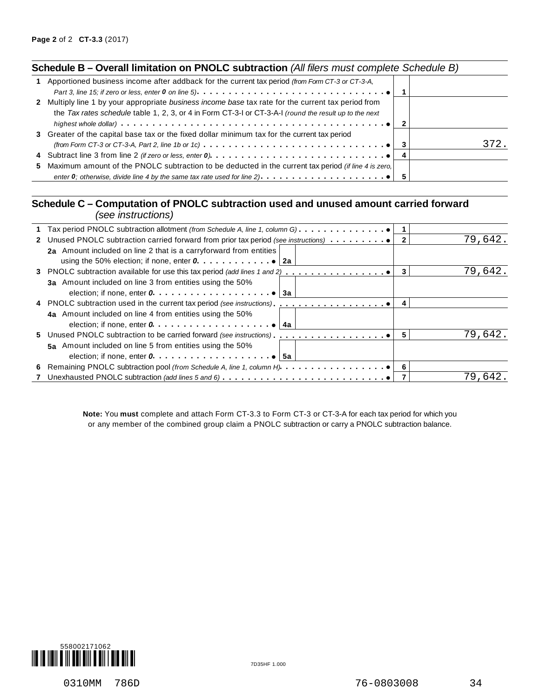| Schedule B - Overall limitation on PNOLC subtraction (All filers must complete Schedule B) |  |
|--------------------------------------------------------------------------------------------|--|
|--------------------------------------------------------------------------------------------|--|

| 1 Apportioned business income after addback for the current tax period (from Form CT-3 or CT-3-A,                                           |  |      |
|---------------------------------------------------------------------------------------------------------------------------------------------|--|------|
|                                                                                                                                             |  |      |
| 2 Multiply line 1 by your appropriate business income base tax rate for the current tax period from                                         |  |      |
| the Tax rates schedule table 1, 2, 3, or 4 in Form CT-3-1 or CT-3-A-1 (round the result up to the next                                      |  |      |
|                                                                                                                                             |  |      |
| 3 Greater of the capital base tax or the fixed dollar minimum tax for the current tax period                                                |  |      |
| (from Form CT-3 or CT-3-A, Part 2, line 1b or 1c) $\ldots \ldots \ldots \ldots \ldots \ldots \ldots \ldots \ldots \ldots \cdot \cdot \cdot$ |  | 372. |
|                                                                                                                                             |  |      |
| 5 Maximum amount of the PNOLC subtraction to be deducted in the current tax period (if line 4 is zero.                                      |  |      |
| enter 0; otherwise, divide line 4 by the same tax rate used for line 2) $\ldots \ldots \ldots \ldots$                                       |  |      |
|                                                                                                                                             |  |      |

#### **Schedule C – Computation of PNOLC subtraction used and unused amount carried forward** *(see instructions)*

| ו טוויטווישטווארוויטס                                                                        |    |         |
|----------------------------------------------------------------------------------------------|----|---------|
| Tax period PNOLC subtraction allotment (from Schedule A, line 1, column G). 0                |    |         |
| 2 Unused PNOLC subtraction carried forward from prior tax period (see instructions)          | 2  | 79,642. |
| 2a Amount included on line 2 that is a carryforward from entities                            |    |         |
|                                                                                              |    |         |
|                                                                                              | 3  | 79,642. |
| 3a Amount included on line 3 from entities using the 50%                                     |    |         |
| election; if none, enter $0 \ldots \ldots \ldots \ldots \ldots \ldots \ldots$ . $\bullet$ 3a |    |         |
|                                                                                              | -4 |         |
| 4a Amount included on line 4 from entities using the 50%                                     |    |         |
| election; if none, enter $0, \ldots, \ldots, \ldots, \ldots, \ldots, \bullet$<br>4a          |    |         |
|                                                                                              | 5  | 79,642. |
| 5a Amount included on line 5 from entities using the 50%                                     |    |         |
| election; if none, enter $0, \ldots, \ldots, \ldots, \ldots, \ldots, \bullet$ 5a             |    |         |
|                                                                                              |    |         |
|                                                                                              |    | 79.642  |
|                                                                                              |    |         |

**Note:** You **must** complete and attach Form CT-3.3 to Form CT-3 or CT-3-A for each tax period for which you or any member of the combined group claim a PNOLC subtraction or carry a PNOLC subtraction balance.

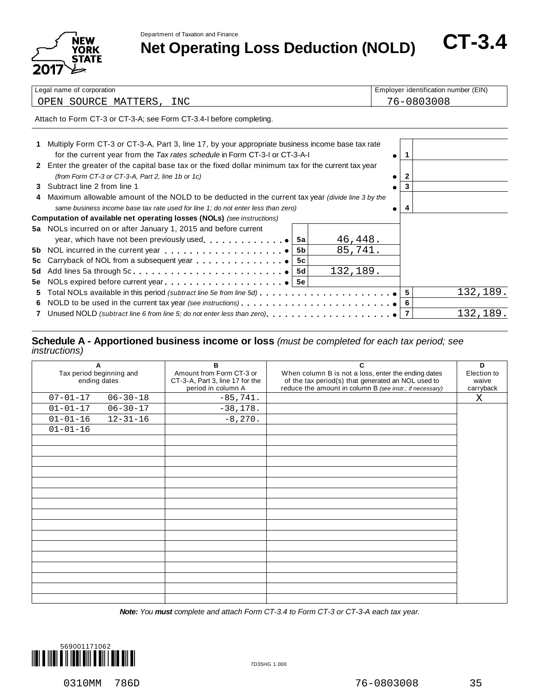Department of Taxation and Finance



Department of Taxation and Finance<br> **Net Operating Loss Deduction (NOLD)** CT-3.4

| Legal name of corporation |                                                                                                                                                                                 |    |            |  |   | Employer identification number (EIN) |  |  |  |
|---------------------------|---------------------------------------------------------------------------------------------------------------------------------------------------------------------------------|----|------------|--|---|--------------------------------------|--|--|--|
|                           | OPEN SOURCE MATTERS,<br>INC                                                                                                                                                     |    | 76-0803008 |  |   |                                      |  |  |  |
|                           | Attach to Form CT-3 or CT-3-A; see Form CT-3.4-I before completing.                                                                                                             |    |            |  |   |                                      |  |  |  |
|                           | Multiply Form CT-3 or CT-3-A, Part 3, line 17, by your appropriate business income base tax rate<br>for the current year from the Tax rates schedule in Form CT-3-I or CT-3-A-I |    |            |  |   |                                      |  |  |  |
|                           | 2 Enter the greater of the capital base tax or the fixed dollar minimum tax for the current tax year<br>(from Form CT-3 or CT-3-A, Part 2, line 1b or 1c)                       |    |            |  | 2 |                                      |  |  |  |
|                           | 3 Subtract line 2 from line 1                                                                                                                                                   |    |            |  | 3 |                                      |  |  |  |
|                           | Maximum allowable amount of the NOLD to be deducted in the current tax year (divide line 3 by the                                                                               |    |            |  |   |                                      |  |  |  |
|                           | same business income base tax rate used for line 1; do not enter less than zero)                                                                                                |    |            |  |   |                                      |  |  |  |
|                           | Computation of available net operating losses (NOLs) (see instructions)                                                                                                         |    |            |  |   |                                      |  |  |  |
|                           | 5a NOLs incurred on or after January 1, 2015 and before current<br>year, which have not been previously used $\bullet$                                                          | 5a | 46,448.    |  |   |                                      |  |  |  |
|                           |                                                                                                                                                                                 | 5b | 85,741.    |  |   |                                      |  |  |  |
| 5c                        |                                                                                                                                                                                 | 5с |            |  |   |                                      |  |  |  |
| 5d                        |                                                                                                                                                                                 | 5d | 132,189.   |  |   |                                      |  |  |  |
|                           |                                                                                                                                                                                 |    |            |  |   |                                      |  |  |  |
| 5.                        | Total NOLs available in this period (subtract line 5e from line 5d) $\ldots \ldots \ldots \ldots \ldots$                                                                        |    |            |  | 5 | 132,189.                             |  |  |  |
|                           |                                                                                                                                                                                 |    |            |  |   |                                      |  |  |  |

#### **7** Unused NOLD *(subtract line 6 from line 5; do not enter less than zero)* m m m m m m m m m m m m m m m m m m m m  $\frac{1}{\frac{6}{7}}$  $\frac{1}{7}$ 132,189.

#### **Schedule A - Apportioned business income or loss** *(must be completed for each tax period; see instructions)*

| A<br>Tax period beginning and<br>ending dates |                | B<br>Amount from Form CT-3 or<br>CT-3-A, Part 3, line 17 for the<br>period in column A | C<br>When column B is not a loss, enter the ending dates<br>of the tax period(s) that generated an NOL used to<br>reduce the amount in column B (see instr.; if necessary) | D<br>Election to<br>waive<br>carryback |
|-----------------------------------------------|----------------|----------------------------------------------------------------------------------------|----------------------------------------------------------------------------------------------------------------------------------------------------------------------------|----------------------------------------|
| $07 - 01 - 17$                                | $06 - 30 - 18$ | $-85,741.$                                                                             |                                                                                                                                                                            | X                                      |
| $01 - 01 - 17$                                | $06 - 30 - 17$ | $-38,178.$                                                                             |                                                                                                                                                                            |                                        |
| $01 - 01 - 16$                                | $12 - 31 - 16$ | $-8,270.$                                                                              |                                                                                                                                                                            |                                        |
| $01 - 01 - 16$                                |                |                                                                                        |                                                                                                                                                                            |                                        |
|                                               |                |                                                                                        |                                                                                                                                                                            |                                        |
|                                               |                |                                                                                        |                                                                                                                                                                            |                                        |
|                                               |                |                                                                                        |                                                                                                                                                                            |                                        |
|                                               |                |                                                                                        |                                                                                                                                                                            |                                        |
|                                               |                |                                                                                        |                                                                                                                                                                            |                                        |
|                                               |                |                                                                                        |                                                                                                                                                                            |                                        |
|                                               |                |                                                                                        |                                                                                                                                                                            |                                        |
|                                               |                |                                                                                        |                                                                                                                                                                            |                                        |
|                                               |                |                                                                                        |                                                                                                                                                                            |                                        |
|                                               |                |                                                                                        |                                                                                                                                                                            |                                        |
|                                               |                |                                                                                        |                                                                                                                                                                            |                                        |
|                                               |                |                                                                                        |                                                                                                                                                                            |                                        |
|                                               |                |                                                                                        |                                                                                                                                                                            |                                        |
|                                               |                |                                                                                        |                                                                                                                                                                            |                                        |
|                                               |                |                                                                                        |                                                                                                                                                                            |                                        |
|                                               |                |                                                                                        |                                                                                                                                                                            |                                        |

*Note: You must complete and attach Form CT-3.4 to Form CT-3 or CT-3-A each tax year.*

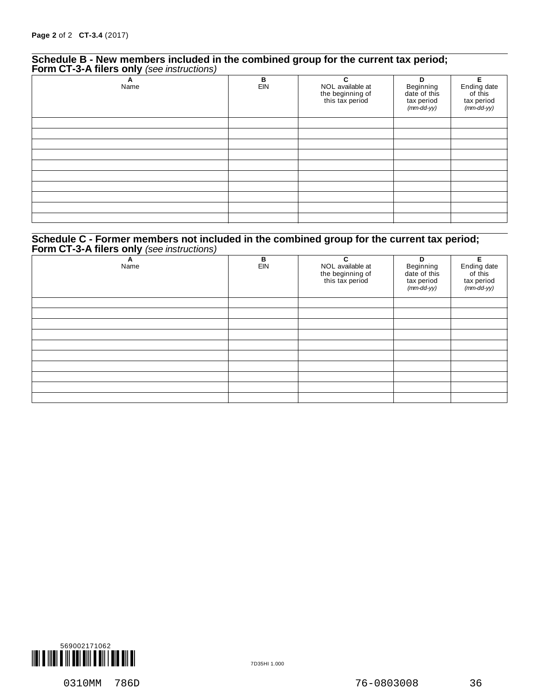#### **Schedule B - New members included in the combined group for the current tax period; Form CT-3-A filers only** *(see instructions)*

| . .<br>$\epsilon$<br>A<br>Name | $\frac{B}{EIN}$ | C<br>NOL available at<br>the beginning of<br>this tax period | D<br>Beginning<br>date of this<br>tax period<br>(mm-dd-yy) | Е<br>Ending date<br>of this<br>tax period<br>(mm-dd-yy) |
|--------------------------------|-----------------|--------------------------------------------------------------|------------------------------------------------------------|---------------------------------------------------------|
|                                |                 |                                                              |                                                            |                                                         |
|                                |                 |                                                              |                                                            |                                                         |
|                                |                 |                                                              |                                                            |                                                         |
|                                |                 |                                                              |                                                            |                                                         |
|                                |                 |                                                              |                                                            |                                                         |
|                                |                 |                                                              |                                                            |                                                         |

#### **Schedule C - Former members not included in the combined group for the current tax period; Form CT-3-A filers only** *(see instructions)*

| . .<br>$\epsilon$<br>A<br>Name | В<br>EIN | C<br>NOL available at<br>the beginning of<br>this tax period | D<br>Beginning<br>date of this<br>tax period<br>(mm-dd-yy) | Е<br>Ending date<br>of this<br>tax period<br>(mm-dd-yy) |
|--------------------------------|----------|--------------------------------------------------------------|------------------------------------------------------------|---------------------------------------------------------|
|                                |          |                                                              |                                                            |                                                         |
|                                |          |                                                              |                                                            |                                                         |
|                                |          |                                                              |                                                            |                                                         |
|                                |          |                                                              |                                                            |                                                         |
|                                |          |                                                              |                                                            |                                                         |
|                                |          |                                                              |                                                            |                                                         |
|                                |          |                                                              |                                                            |                                                         |
|                                |          |                                                              |                                                            |                                                         |
|                                |          |                                                              |                                                            |                                                         |
|                                |          |                                                              |                                                            |                                                         |

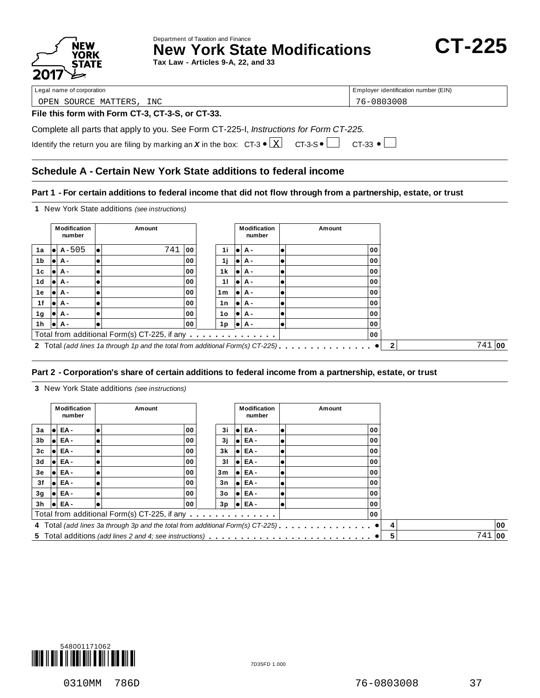

Department of Taxation and Finance **New York State Modifications CT-225** 

**Tax Law - Articles 9-A, 22, and 33**

Legal name of corporation extensive terms of corporation and the corporation of Employer identification number (EIN)

OPEN SOURCE MATTERS, INC 76-0803008

#### **File this form with Form CT-3, CT-3-S, or CT-33.**

Complete all parts that apply to you. See Form CT-225-I, *Instructions for Form CT-225.*

|  | Identify the return you are filing by marking an X in the box: $CT-3 \cdot \boxed{X}$ $CT-3-5 \cdot \boxed{}$ $CT-33 \cdot \boxed{}$ |  |  |
|--|--------------------------------------------------------------------------------------------------------------------------------------|--|--|

#### **Schedule A - Certain New York State additions to federal income**

#### Part 1 - For certain additions to federal income that did not flow through from a partnership, estate, or trust

**1** New York State additions *(see instructions)*

|     |      | Modification<br>number | Amount                                                                         |     |                | <b>Modification</b><br>number | Amount |    |              |          |
|-----|------|------------------------|--------------------------------------------------------------------------------|-----|----------------|-------------------------------|--------|----|--------------|----------|
| 1a  | 10 L | $A - 505$              | 741                                                                            | 100 | 1i             | $  \bullet   A -$             |        | 00 |              |          |
| 1b  | lol  | А-                     |                                                                                | 00  | 1j             | lei A -                       |        | 00 |              |          |
| 1c  | lol  | А-                     |                                                                                | 00  | 1 k            | lei A -                       |        | 00 |              |          |
| 1d  | le i | <b>A</b> -             |                                                                                | 00  | 11             | lei A -                       |        | 00 |              |          |
| 1е  | lol  | А-                     |                                                                                | 00  | 1 <sub>m</sub> | lei A -                       |        | 00 |              |          |
| 1f  |      | l●l A -                |                                                                                | 00  | 1n             | $  \bullet   A -$             |        | 00 |              |          |
| 1g  |      | l●l A -                |                                                                                | 00  | 1o             | $  \bullet   A -$             |        | 00 |              |          |
| 1 h |      | I●IA -                 |                                                                                | 00  | 1p             | $  \bullet   A -$             |        | 00 |              |          |
|     |      |                        | Total from additional Form(s) CT-225, if any                                   |     |                |                               |        | 00 |              |          |
|     |      |                        | 2 Total (add lines 1a through 1p and the total from additional Form(s) CT-225) |     |                |                               |        |    | $\mathbf{2}$ | $741$ 00 |

#### **Part 2 -Corporation's share of certain additions to federal income from a partnership, estate, or trust**

**3** New York State additions *(see instructions)*

|                |     | Modification<br>number |    | Amount                                                                         |    | <b>Modification</b><br>number | Amount |   |          |    |
|----------------|-----|------------------------|----|--------------------------------------------------------------------------------|----|-------------------------------|--------|---|----------|----|
| 3a             |     | EA-                    | ۰  | 00                                                                             | 3i | I●I EA -                      | 00     |   |          |    |
| 3b             |     | EA-                    |    | 00                                                                             | 3j | I●I EA -                      | 00     |   |          |    |
| 3 <sub>c</sub> |     | EA-                    | lo | 00                                                                             | 3k | lei EA -                      | 00     |   |          |    |
| 3d             | ٠   | EA-                    |    | 00                                                                             | 31 | I●I EA -                      | 00     |   |          |    |
| 3e             |     | EA-                    |    | 00                                                                             | 3m | lei EA -                      | 00     |   |          |    |
| 3f             | lol | l EA -                 |    | 00                                                                             | 3n | lei EA -                      | 00     |   |          |    |
| 3g             |     | I●I EA -               |    | 00                                                                             | 30 | I●I EA -                      | 00     |   |          |    |
| 3h             |     | $\bullet$ EA -         |    | 00                                                                             | 3p | $\bullet$ EA -                | 00     |   |          |    |
|                |     |                        |    | Total from additional Form(s) CT-225, if any                                   |    |                               | 00     |   |          |    |
|                |     |                        |    | 4 Total (add lines 3a through 3p and the total from additional Form(s) CT-225) |    |                               |        |   |          | 00 |
|                |     |                        |    |                                                                                |    |                               |        | 5 | $741$ 00 |    |

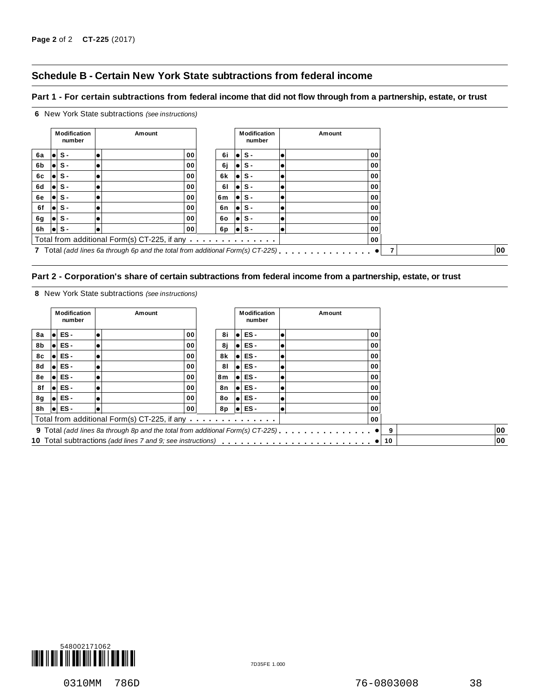#### **Schedule B - Certain New York State subtractions from federal income**

#### Part 1 - For certain subtractions from federal income that did not flow through from a partnership, estate, or trust



#### Part 2 - Corporation's share of certain subtractions from federal income from a partnership, estate, or trust

**8** New York State subtractions *(see instructions)*

**6** New York State subtractions *(see instructions)*

|    | <b>Modification</b><br>number | Amount                                                                          |    | <b>Modification</b><br>number | Amount |    |    |
|----|-------------------------------|---------------------------------------------------------------------------------|----|-------------------------------|--------|----|----|
| 8а | ES -                          | 00                                                                              | 8i | ES-                           | 00     |    |    |
| 8b | $\bullet$ ES -                | 00                                                                              | 8ј | ES-                           | 00     |    |    |
| 8с | ES -                          | 00                                                                              | 8k | ES-                           | 00     |    |    |
| 8d | ES -                          | 00                                                                              | 81 | ES-                           | 00     |    |    |
| 8e | ES -                          | 00                                                                              | 8m | ES-                           | 00     |    |    |
| 8f | $\bullet$ ES -                | 00                                                                              | 8n | ES-                           | 00     |    |    |
| 8g | $\bullet$ ES -                | 00                                                                              | 80 | ES-                           | 00     |    |    |
| 8h | $\bullet$ ES -                | 00                                                                              | 8p | $\bullet$ ES -                | 00     |    |    |
|    |                               | Total from additional Form(s) CT-225, if any                                    |    |                               | 00     |    |    |
|    |                               | 9 Total (add lines 8a through 8p and the total from additional Form(s) CT-225). |    |                               |        | 9  | 00 |
|    |                               |                                                                                 |    |                               |        | 10 | 00 |

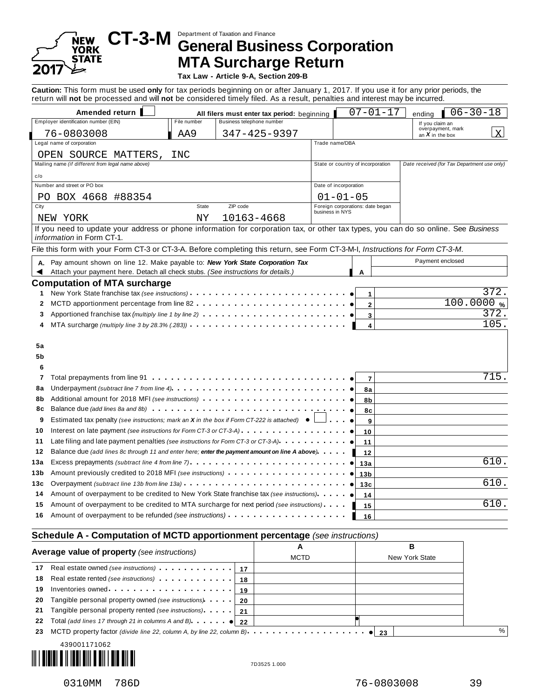# YORK **STATE** 2017

# Department of Taxation and Finance **CT-3-M General Business Corporation MTA Surcharge Return**

**Tax Law - Article 9-A, Section 209-B**

**Caution:** This form must be used **only** for tax periods beginning on or after January 1, 2017. If you use it for any prior periods, the return will **not** be processed and will **not** be considered timely filed. As a result, penalties and interest may be incurred.

| Amended return                                                                                                                                                                                                                        |             | All filers must enter tax period: beginning |                       | $07 - 01 - 17$                    | ending                                      | $06 - 30 - 18$     |
|---------------------------------------------------------------------------------------------------------------------------------------------------------------------------------------------------------------------------------------|-------------|---------------------------------------------|-----------------------|-----------------------------------|---------------------------------------------|--------------------|
| Employer identification number (EIN)                                                                                                                                                                                                  | File number | Business telephone number                   |                       |                                   | If you claim an                             |                    |
| 76-0803008                                                                                                                                                                                                                            | AA9         | $347 - 425 - 9397$                          |                       |                                   | overpayment, mark<br>an $X$ in the box      |                    |
| Legal name of corporation                                                                                                                                                                                                             |             |                                             | Trade name/DBA        |                                   |                                             |                    |
| OPEN SOURCE MATTERS,                                                                                                                                                                                                                  | INC         |                                             |                       |                                   |                                             |                    |
| Mailing name (if different from legal name above)                                                                                                                                                                                     |             |                                             |                       | State or country of incorporation | Date received (for Tax Department use only) |                    |
| c/o                                                                                                                                                                                                                                   |             |                                             |                       |                                   |                                             |                    |
| Number and street or PO box                                                                                                                                                                                                           |             |                                             | Date of incorporation |                                   |                                             |                    |
| PO BOX 4668 #88354                                                                                                                                                                                                                    |             |                                             |                       | $01 - 01 - 05$                    |                                             |                    |
| City                                                                                                                                                                                                                                  | State       | ZIP code                                    | business in NYS       | Foreign corporations: date began  |                                             |                    |
| NEW YORK                                                                                                                                                                                                                              | ΝY          | 10163-4668                                  |                       |                                   |                                             |                    |
| If you need to update your address or phone information for corporation tax, or other tax types, you can do so online. See Business<br>information in Form CT-1.                                                                      |             |                                             |                       |                                   |                                             |                    |
| File this form with your Form CT-3 or CT-3-A. Before completing this return, see Form CT-3-M-I, Instructions for Form CT-3-M.                                                                                                         |             |                                             |                       |                                   |                                             |                    |
| A. Pay amount shown on line 12. Make payable to: New York State Corporation Tax                                                                                                                                                       |             |                                             |                       |                                   | Payment enclosed                            |                    |
| Attach your payment here. Detach all check stubs. (See instructions for details.)                                                                                                                                                     |             |                                             |                       | A                                 |                                             |                    |
| <b>Computation of MTA surcharge</b>                                                                                                                                                                                                   |             |                                             |                       |                                   |                                             |                    |
| New York State franchise tax (see instructions)<br>1                                                                                                                                                                                  |             |                                             |                       | 1                                 |                                             | 372                |
| MCTD apportionment percentage from line 82<br>2                                                                                                                                                                                       |             |                                             |                       | $\mathbf 2$                       |                                             | 100.0000%          |
| 3                                                                                                                                                                                                                                     |             |                                             |                       | 3                                 |                                             | 372.               |
| MTA surcharge (multiply line 3 by 28.3% $(283)$ ) $\cdots$ $\cdots$ $\cdots$<br>4                                                                                                                                                     |             |                                             |                       | 4                                 |                                             | $\overline{105}$ . |
|                                                                                                                                                                                                                                       |             |                                             |                       |                                   |                                             |                    |
| 5a                                                                                                                                                                                                                                    |             |                                             |                       |                                   |                                             |                    |
| 5b                                                                                                                                                                                                                                    |             |                                             |                       |                                   |                                             |                    |
| 6                                                                                                                                                                                                                                     |             |                                             |                       |                                   |                                             |                    |
| Total prepayments from line 91<br>7                                                                                                                                                                                                   |             |                                             |                       | $\overline{7}$                    |                                             | 715                |
| Underpayment (subtract line 7 from line 4) $\cdots$ $\cdots$ $\cdots$ $\cdots$ $\cdots$ $\cdots$ $\cdots$<br>8а                                                                                                                       |             |                                             |                       | 8a                                |                                             |                    |
| Additional amount for 2018 MFI (see instructions)<br>8b                                                                                                                                                                               |             |                                             |                       | 8b                                |                                             |                    |
| Balance due (add lines 8a and 8b)<br>8с                                                                                                                                                                                               |             |                                             |                       | 8c                                |                                             |                    |
| Estimated tax penalty (see instructions; mark an X in the box if Form CT-222 is attached) $\bullet$<br>9                                                                                                                              |             |                                             |                       | 9                                 |                                             |                    |
| Interest on late payment (see instructions for Form CT-3 or CT-3-A)<br>10                                                                                                                                                             |             |                                             |                       | 10                                |                                             |                    |
| Late filing and late payment penalties (see instructions for Form CT-3 or CT-3-A)<br>11                                                                                                                                               |             |                                             |                       | 11                                |                                             |                    |
| 12<br>Balance due (add lines 8c through 11 and enter here; enter the payment amount on line A above).                                                                                                                                 |             |                                             |                       | 12                                |                                             |                    |
| Excess prepayments (subtract line 4 from line 7)<br>13а                                                                                                                                                                               |             |                                             |                       | 13a                               |                                             | 610.               |
| Amount previously credited to 2018 MFI (see instructions) entering the set of the Amount of Amount Amount Amount Amount Amount Amount Amount Amount Amount Amount Amount Amount Amount Amount Amount Amount Amount Amount Amou<br>13b |             |                                             |                       | 13 <sub>b</sub>                   |                                             |                    |
| Overpayment (subtract line 13b from line 13a)<br>13с                                                                                                                                                                                  |             |                                             |                       | 13c                               |                                             | 610.               |
| Amount of overpayment to be credited to New York State franchise tax (see instructions)<br>14                                                                                                                                         |             |                                             |                       | 14                                |                                             |                    |
| Amount of overpayment to be credited to MTA surcharge for next period (see instructions).<br>15                                                                                                                                       |             |                                             |                       | 15                                |                                             | 610                |
| Amount of overpayment to be refunded (see <i>instructions</i> )<br>16                                                                                                                                                                 |             |                                             |                       | 16                                |                                             |                    |
|                                                                                                                                                                                                                                       |             |                                             |                       |                                   |                                             |                    |

|    | Average value of property (see instructions)                                                                                      |      | в              |
|----|-----------------------------------------------------------------------------------------------------------------------------------|------|----------------|
|    |                                                                                                                                   | MCTD | New York State |
| 17 | Real estate owned (see instructions) example 12                                                                                   |      |                |
| 18 | Real estate rented (see instructions)   18                                                                                        |      |                |
| 19 |                                                                                                                                   |      |                |
| 20 | Tangible personal property owned (see instructions) 190                                                                           |      |                |
|    | 21 Tangible personal property rented (see instructions) 1.1 21                                                                    |      |                |
| 22 | Total (add lines 17 through 21 in columns A and B) $\cdot \cdot \cdot \cdot$   22                                                 |      |                |
| 23 | MCTD property factor (divide line 22, column A, by line 22, column B). $\cdots$ . $\cdots$ . $\cdots$ . $\cdots$ . $\bullet$   23 |      |                |
|    |                                                                                                                                   |      |                |

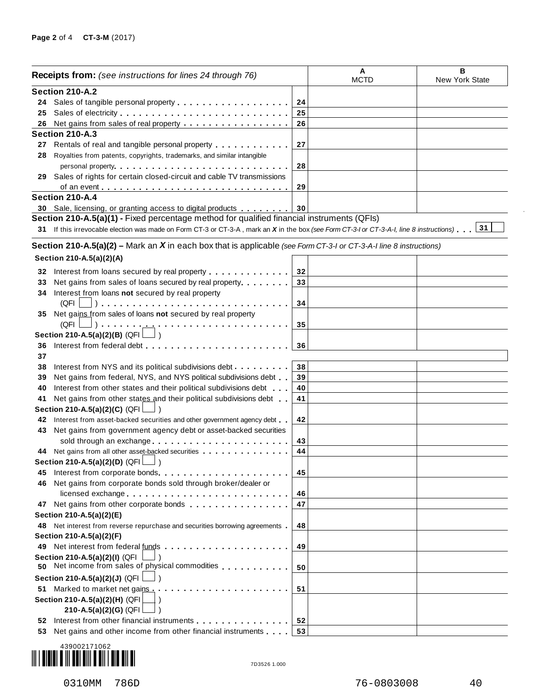|     | <b>Receipts from:</b> (see instructions for lines 24 through 76)                                                                                                                                                                     |    | A<br><b>MCTD</b> | в<br>New York State |
|-----|--------------------------------------------------------------------------------------------------------------------------------------------------------------------------------------------------------------------------------------|----|------------------|---------------------|
|     | Section 210-A.2                                                                                                                                                                                                                      |    |                  |                     |
|     |                                                                                                                                                                                                                                      | 24 |                  |                     |
| 25  |                                                                                                                                                                                                                                      | 25 |                  |                     |
| 26  | Net gains from sales of real property                                                                                                                                                                                                | 26 |                  |                     |
|     | Section 210-A.3                                                                                                                                                                                                                      |    |                  |                     |
|     | 27 Rentals of real and tangible personal property                                                                                                                                                                                    | 27 |                  |                     |
| 28  | Royalties from patents, copyrights, trademarks, and similar intangible                                                                                                                                                               |    |                  |                     |
|     | personal property entering the set of the set of the set of the set of the set of the set of the set of the set of the set of the set of the set of the set of the set of the set of the set of the set of the set of the set        | 28 |                  |                     |
| 29  | Sales of rights for certain closed-circuit and cable TV transmissions                                                                                                                                                                |    |                  |                     |
|     |                                                                                                                                                                                                                                      | 29 |                  |                     |
|     | Section 210-A.4                                                                                                                                                                                                                      |    |                  |                     |
|     | 30 Sale, licensing, or granting access to digital products                                                                                                                                                                           | 30 |                  |                     |
|     | Section 210-A.5(a)(1) - Fixed percentage method for qualified financial instruments (QFIs)                                                                                                                                           |    |                  |                     |
|     | 31 If this irrevocable election was made on Form CT-3 or CT-3-A, mark an X in the box (see Form CT-3-I or CT-3-A-I, line 8 instructions) 31                                                                                          |    |                  |                     |
|     |                                                                                                                                                                                                                                      |    |                  |                     |
|     | Section 210-A.5(a)(2) – Mark an X in each box that is applicable (see Form CT-3-I or CT-3-A-I line 8 instructions)                                                                                                                   |    |                  |                     |
|     | Section 210-A.5(a)(2)(A)                                                                                                                                                                                                             |    |                  |                     |
|     |                                                                                                                                                                                                                                      |    |                  |                     |
| 32  | Interest from loans secured by real property                                                                                                                                                                                         | 32 |                  |                     |
| 33  | Net gains from sales of loans secured by real property                                                                                                                                                                               | 33 |                  |                     |
| 34  | Interest from loans not secured by real property                                                                                                                                                                                     |    |                  |                     |
|     | (QFI                                                                                                                                                                                                                                 | 34 |                  |                     |
| 35  | Net gains from sales of loans not secured by real property                                                                                                                                                                           |    |                  |                     |
|     | $(QFI \bigsqcup) \cdot \cdot \cdot \cdot \cdot \cdot \underline{\cdot \cdot \cdot}$ .<br>.                                                                                                                                           | 35 |                  |                     |
|     | Section 210-A.5(a)(2)(B) (QFI $\Box$ )                                                                                                                                                                                               |    |                  |                     |
| 36  | Interest from federal debt                                                                                                                                                                                                           | 36 |                  |                     |
| 37  |                                                                                                                                                                                                                                      |    |                  |                     |
| 38  | Interest from NYS and its political subdivisions debt                                                                                                                                                                                | 38 |                  |                     |
| 39  | Net gains from federal, NYS, and NYS political subdivisions debt                                                                                                                                                                     | 39 |                  |                     |
| 40  | Interest from other states and their political subdivisions debt                                                                                                                                                                     | 40 |                  |                     |
| 41  | Net gains from other states and their political subdivisions debt                                                                                                                                                                    | 41 |                  |                     |
|     | Section 210-A.5(a)(2)(C) (QFI                                                                                                                                                                                                        |    |                  |                     |
| 42  | Interest from asset-backed securities and other government agency debt.                                                                                                                                                              | 42 |                  |                     |
| 43  | Net gains from government agency debt or asset-backed securities                                                                                                                                                                     |    |                  |                     |
|     | sold through an exchange                                                                                                                                                                                                             | 43 |                  |                     |
|     | 44 Net gains from all other asset-backed securities                                                                                                                                                                                  | 44 |                  |                     |
|     | Section 210-A.5(a)(2)(D) (QFI $\lfloor$ )                                                                                                                                                                                            |    |                  |                     |
| 45  | Interest from corporate bonds expansion of the set of the set of the set of the set of the set of the set of the set of the set of the set of the set of the set of the set of the set of the set of the set of the set of the       | 45 |                  |                     |
| 46  | Net gains from corporate bonds sold through broker/dealer or                                                                                                                                                                         |    |                  |                     |
|     | licensed exchange                                                                                                                                                                                                                    | 46 |                  |                     |
|     | 47 Net gains from other corporate bonds                                                                                                                                                                                              | 47 |                  |                     |
|     | Section 210-A.5(a)(2)(E)                                                                                                                                                                                                             |    |                  |                     |
| 48. | Net interest from reverse repurchase and securities borrowing agreements                                                                                                                                                             | 48 |                  |                     |
|     | Section 210-A.5(a)(2)(F)                                                                                                                                                                                                             |    |                  |                     |
| 49  |                                                                                                                                                                                                                                      | 49 |                  |                     |
| 50  | Section 210-A.5(a)(2)(I) (QFI<br>Net income from sales of physical commodities                                                                                                                                                       | 50 |                  |                     |
|     | Section 210-A.5(a)(2)(J) (QFI                                                                                                                                                                                                        |    |                  |                     |
| 51  |                                                                                                                                                                                                                                      | 51 |                  |                     |
|     | Section 210-A.5(a)(2)(H) (QFI                                                                                                                                                                                                        |    |                  |                     |
|     | 210-A.5(a)(2)(G) (QFI                                                                                                                                                                                                                |    |                  |                     |
| 52  | Interest from other financial instruments <b>and the state of the state of the state of the state of the state of the state of the state of the state of the state of the state of the state of the state of the state of the st</b> | 52 |                  |                     |
| 53. | Net gains and other income from other financial instruments                                                                                                                                                                          | 53 |                  |                     |
|     |                                                                                                                                                                                                                                      |    |                  |                     |



 $\bar{z}$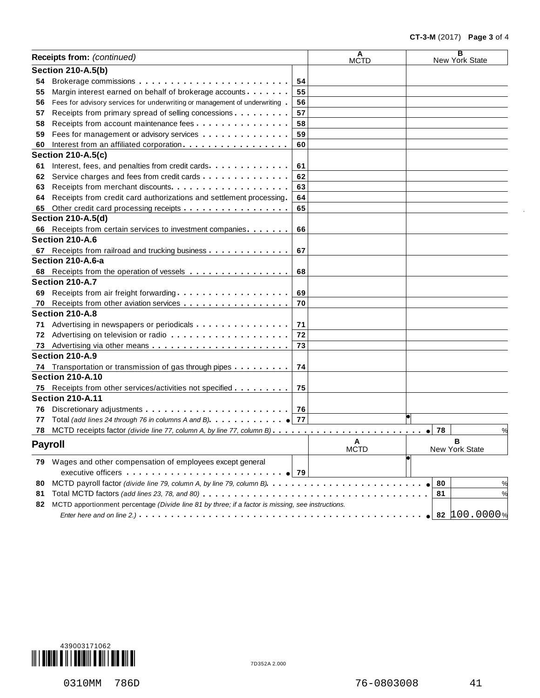|    | Receipts from: (continued)                                                                        |    | A<br><b>MCTD</b> | в<br>New York State |
|----|---------------------------------------------------------------------------------------------------|----|------------------|---------------------|
|    | <b>Section 210-A.5(b)</b>                                                                         |    |                  |                     |
| 54 |                                                                                                   | 54 |                  |                     |
| 55 | Margin interest earned on behalf of brokerage accounts                                            | 55 |                  |                     |
| 56 | Fees for advisory services for underwriting or management of underwriting                         | 56 |                  |                     |
| 57 | Receipts from primary spread of selling concessions                                               | 57 |                  |                     |
| 58 | Receipts from account maintenance fees                                                            | 58 |                  |                     |
| 59 | Fees for management or advisory services                                                          | 59 |                  |                     |
| 60 | Interest from an affiliated corporation                                                           | 60 |                  |                     |
|    | <b>Section 210-A.5(c)</b>                                                                         |    |                  |                     |
| 61 | Interest, fees, and penalties from credit cards                                                   | 61 |                  |                     |
| 62 | Service charges and fees from credit cards                                                        | 62 |                  |                     |
| 63 | Receipts from merchant discounts.                                                                 | 63 |                  |                     |
| 64 | Receipts from credit card authorizations and settlement processing.                               | 64 |                  |                     |
| 65 | Other credit card processing receipts                                                             | 65 |                  |                     |
|    | <b>Section 210-A.5(d)</b>                                                                         |    |                  |                     |
| 66 | Receipts from certain services to investment companies                                            | 66 |                  |                     |
|    | Section 210-A.6                                                                                   |    |                  |                     |
| 67 | Receipts from railroad and trucking business                                                      | 67 |                  |                     |
|    | Section 210-A.6-a                                                                                 |    |                  |                     |
| 68 | Receipts from the operation of vessels                                                            | 68 |                  |                     |
|    | Section 210-A.7                                                                                   |    |                  |                     |
| 69 | Receipts from air freight forwarding                                                              | 69 |                  |                     |
| 70 | Receipts from other aviation services                                                             | 70 |                  |                     |
|    | Section 210-A.8                                                                                   |    |                  |                     |
| 71 | Advertising in newspapers or periodicals                                                          | 71 |                  |                     |
| 72 |                                                                                                   | 72 |                  |                     |
| 73 |                                                                                                   | 73 |                  |                     |
|    | Section 210-A.9                                                                                   |    |                  |                     |
|    | 74 Transportation or transmission of gas through pipes                                            | 74 |                  |                     |
|    | <b>Section 210-A.10</b>                                                                           |    |                  |                     |
| 75 | Receipts from other services/activities not specified                                             | 75 |                  |                     |
|    | <b>Section 210-A.11</b>                                                                           |    |                  |                     |
| 76 |                                                                                                   | 76 |                  |                     |
| 77 |                                                                                                   |    |                  |                     |
| 78 |                                                                                                   |    |                  | 78<br>%             |
|    |                                                                                                   |    | A                | R                   |
|    | <b>Payroll</b>                                                                                    |    | <b>MCTD</b>      | New York State      |
|    | 79 Wages and other compensation of employees except general                                       |    |                  |                     |
|    |                                                                                                   |    |                  |                     |
| 80 |                                                                                                   |    |                  | 80                  |
| 81 |                                                                                                   |    |                  | 81                  |
| 82 | MCTD apportionment percentage (Divide line 81 by three; if a factor is missing, see instructions. |    |                  |                     |
|    |                                                                                                   |    |                  | 82 100.0000%        |
|    |                                                                                                   |    |                  |                     |



0310MM 786D 76-0803008 41